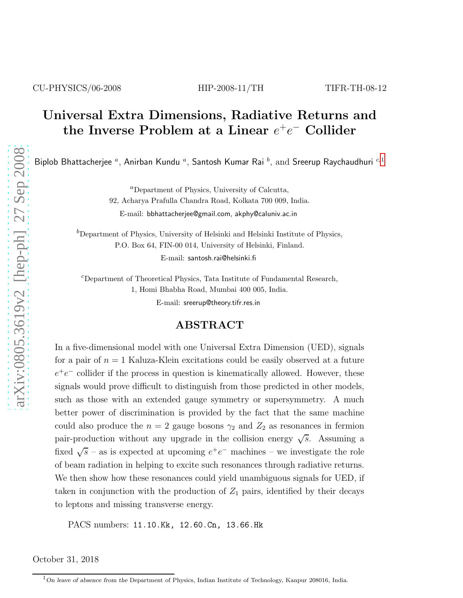CU-PHYSICS/06-2008 HIP-2008-11/TH TIFR-TH-08-12

# Universal Extra Dimensions, Radiative Returns and the Inverse Problem at a Linear  $e^+e^-$  Collider

Biplob Bhattacherjee  $^a$ , Anirban Kundu  $^a$ , Santosh Kumar Rai  $^b$ , and Sreerup Raychaudhuri  $^{c,1}$  $^{c,1}$  $^{c,1}$ 

<sup>a</sup>Department of Physics, University of Calcutta,

92, Acharya Prafulla Chandra Road, Kolkata 700 009, India.

E-mail: bbhattacherjee@gmail.com, akphy@caluniv.ac.in

 ${}^b$ Department of Physics, University of Helsinki and Helsinki Institute of Physics, P.O. Box 64, FIN-00 014, University of Helsinki, Finland. E-mail: santosh.rai@helsinki.fi

 $c$ Department of Theoretical Physics, Tata Institute of Fundamental Research,

1, Homi Bhabha Road, Mumbai 400 005, India.

E-mail: sreerup@theory.tifr.res.in

#### ABSTRACT

In a five-dimensional model with one Universal Extra Dimension (UED), signals for a pair of  $n = 1$  Kaluza-Klein excitations could be easily observed at a future  $e^+e^-$  collider if the process in question is kinematically allowed. However, these signals would prove difficult to distinguish from those predicted in other models, such as those with an extended gauge symmetry or supersymmetry. A much better power of discrimination is provided by the fact that the same machine could also produce the  $n = 2$  gauge bosons  $\gamma_2$  and  $Z_2$  as resonances in fermion pair-production without any upgrade in the collision energy  $\sqrt{s}$ . Assuming a fixed  $\sqrt{s}$  – as is expected at upcoming  $e^+e^-$  machines – we investigate the role of beam radiation in helping to excite such resonances through radiative returns. We then show how these resonances could yield unambiguous signals for UED, if taken in conjunction with the production of  $Z_1$  pairs, identified by their decays to leptons and missing transverse energy.

PACS numbers: 11.10.Kk, 12.60.Cn, 13.66.Hk

October 31, 2018

<span id="page-0-0"></span> $1$ On leave of absence from the Department of Physics, Indian Institute of Technology, Kanpur 208016, India.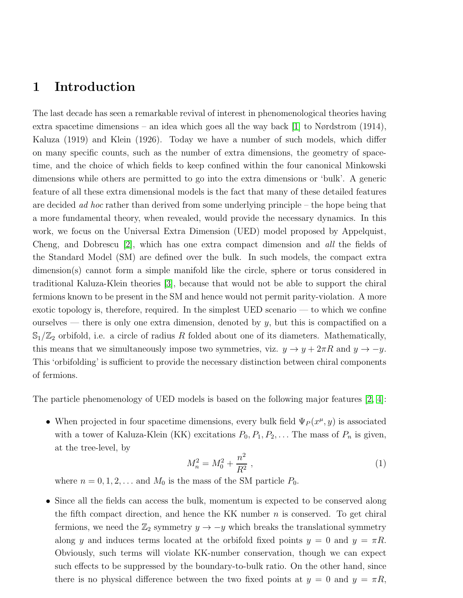#### 1 Introduction

The last decade has seen a remarkable revival of interest in phenomenological theories having extra spacetime dimensions – an idea which goes all the way back  $[1]$  to Nørdstrom  $(1914)$ , Kaluza (1919) and Klein (1926). Today we have a number of such models, which differ on many specific counts, such as the number of extra dimensions, the geometry of spacetime, and the choice of which fields to keep confined within the four canonical Minkowski dimensions while others are permitted to go into the extra dimensions or 'bulk'. A generic feature of all these extra dimensional models is the fact that many of these detailed features are decided *ad hoc* rather than derived from some underlying principle – the hope being that a more fundamental theory, when revealed, would provide the necessary dynamics. In this work, we focus on the Universal Extra Dimension (UED) model proposed by Appelquist, Cheng, and Dobrescu [\[2\]](#page-34-1), which has one extra compact dimension and all the fields of the Standard Model (SM) are defined over the bulk. In such models, the compact extra dimension(s) cannot form a simple manifold like the circle, sphere or torus considered in traditional Kaluza-Klein theories [\[3\]](#page-35-0), because that would not be able to support the chiral fermions known to be present in the SM and hence would not permit parity-violation. A more exotic topology is, therefore, required. In the simplest UED scenario — to which we confine ourselves — there is only one extra dimension, denoted by  $y$ , but this is compactified on a  $\mathbb{S}_1/\mathbb{Z}_2$  orbifold, i.e. a circle of radius R folded about one of its diameters. Mathematically, this means that we simultaneously impose two symmetries, viz.  $y \to y + 2\pi R$  and  $y \to -y$ . This 'orbifolding' is sufficient to provide the necessary distinction between chiral components of fermions.

The particle phenomenology of UED models is based on the following major features [\[2,](#page-34-1) [4\]](#page-35-1):

• When projected in four spacetime dimensions, every bulk field  $\Psi_P(x^{\mu}, y)$  is associated with a tower of Kaluza-Klein (KK) excitations  $P_0, P_1, P_2, \ldots$  The mass of  $P_n$  is given, at the tree-level, by

<span id="page-1-0"></span>
$$
M_n^2 = M_0^2 + \frac{n^2}{R^2} \,,\tag{1}
$$

where  $n = 0, 1, 2, \ldots$  and  $M_0$  is the mass of the SM particle  $P_0$ .

• Since all the fields can access the bulk, momentum is expected to be conserved along the fifth compact direction, and hence the KK number  $n$  is conserved. To get chiral fermions, we need the  $\mathbb{Z}_2$  symmetry  $y \to -y$  which breaks the translational symmetry along y and induces terms located at the orbifold fixed points  $y = 0$  and  $y = \pi R$ . Obviously, such terms will violate KK-number conservation, though we can expect such effects to be suppressed by the boundary-to-bulk ratio. On the other hand, since there is no physical difference between the two fixed points at  $y = 0$  and  $y = \pi R$ ,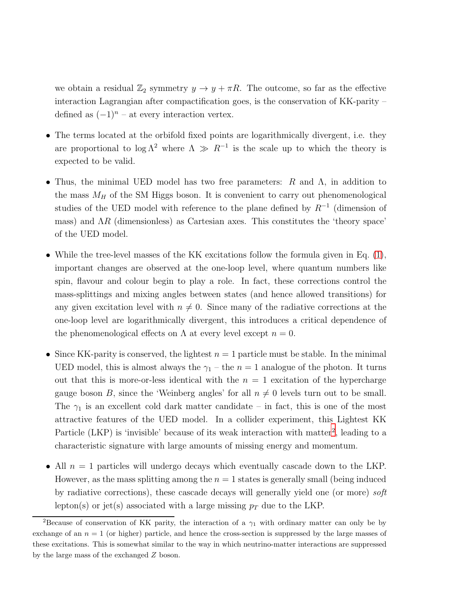we obtain a residual  $\mathbb{Z}_2$  symmetry  $y \to y + \pi R$ . The outcome, so far as the effective interaction Lagrangian after compactification goes, is the conservation of KK-parity – defined as  $(-1)^n$  – at every interaction vertex.

- The terms located at the orbifold fixed points are logarithmically divergent, i.e. they are proportional to  $\log \Lambda^2$  where  $\Lambda \gg R^{-1}$  is the scale up to which the theory is expected to be valid.
- Thus, the minimal UED model has two free parameters:  $R$  and  $\Lambda$ , in addition to the mass  $M_H$  of the SM Higgs boson. It is convenient to carry out phenomenological studies of the UED model with reference to the plane defined by  $R^{-1}$  (dimension of mass) and  $\Lambda R$  (dimensionless) as Cartesian axes. This constitutes the 'theory space' of the UED model.
- While the tree-level masses of the KK excitations follow the formula given in Eq. [\(1\)](#page-1-0), important changes are observed at the one-loop level, where quantum numbers like spin, flavour and colour begin to play a role. In fact, these corrections control the mass-splittings and mixing angles between states (and hence allowed transitions) for any given excitation level with  $n \neq 0$ . Since many of the radiative corrections at the one-loop level are logarithmically divergent, this introduces a critical dependence of the phenomenological effects on  $\Lambda$  at every level except  $n = 0$ .
- Since KK-parity is conserved, the lightest  $n = 1$  particle must be stable. In the minimal UED model, this is almost always the  $\gamma_1$  – the  $n = 1$  analogue of the photon. It turns out that this is more-or-less identical with the  $n = 1$  excitation of the hypercharge gauge boson B, since the 'Weinberg angles' for all  $n \neq 0$  levels turn out to be small. The  $\gamma_1$  is an excellent cold dark matter candidate – in fact, this is one of the most attractive features of the UED model. In a collider experiment, this Lightest KK Particle (LKP) is 'invisible' because of its weak interaction with matter<sup>[2](#page-2-0)</sup>, leading to a characteristic signature with large amounts of missing energy and momentum.
- All  $n = 1$  particles will undergo decays which eventually cascade down to the LKP. However, as the mass splitting among the  $n = 1$  states is generally small (being induced by radiative corrections), these cascade decays will generally yield one (or more) soft lepton(s) or jet(s) associated with a large missing  $p_T$  due to the LKP.

<span id="page-2-0"></span><sup>&</sup>lt;sup>2</sup>Because of conservation of KK parity, the interaction of a  $\gamma_1$  with ordinary matter can only be by exchange of an  $n = 1$  (or higher) particle, and hence the cross-section is suppressed by the large masses of these excitations. This is somewhat similar to the way in which neutrino-matter interactions are suppressed by the large mass of the exchanged Z boson.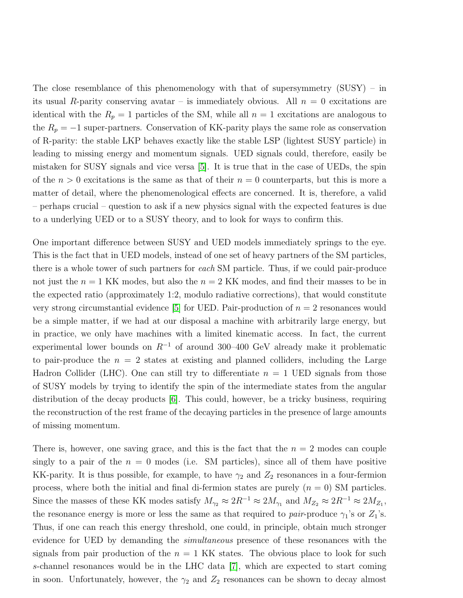The close resemblance of this phenomenology with that of supersymmetry  $(SUSY) - in$ its usual R-parity conserving avatar – is immediately obvious. All  $n = 0$  excitations are identical with the  $R_p = 1$  particles of the SM, while all  $n = 1$  excitations are analogous to the  $R_p = -1$  super-partners. Conservation of KK-parity plays the same role as conservation of R-parity: the stable LKP behaves exactly like the stable LSP (lightest SUSY particle) in leading to missing energy and momentum signals. UED signals could, therefore, easily be mistaken for SUSY signals and vice versa [\[5\]](#page-35-2). It is true that in the case of UEDs, the spin of the  $n > 0$  excitations is the same as that of their  $n = 0$  counterparts, but this is more a matter of detail, where the phenomenological effects are concerned. It is, therefore, a valid – perhaps crucial – question to ask if a new physics signal with the expected features is due to a underlying UED or to a SUSY theory, and to look for ways to confirm this.

One important difference between SUSY and UED models immediately springs to the eye. This is the fact that in UED models, instead of one set of heavy partners of the SM particles, there is a whole tower of such partners for each SM particle. Thus, if we could pair-produce not just the  $n = 1$  KK modes, but also the  $n = 2$  KK modes, and find their masses to be in the expected ratio (approximately 1:2, modulo radiative corrections), that would constitute very strong circumstantial evidence [\[5\]](#page-35-2) for UED. Pair-production of  $n = 2$  resonances would be a simple matter, if we had at our disposal a machine with arbitrarily large energy, but in practice, we only have machines with a limited kinematic access. In fact, the current experimental lower bounds on  $R^{-1}$  of around 300–400 GeV already make it problematic to pair-produce the  $n = 2$  states at existing and planned colliders, including the Large Hadron Collider (LHC). One can still try to differentiate  $n = 1$  UED signals from those of SUSY models by trying to identify the spin of the intermediate states from the angular distribution of the decay products  $[6]$ . This could, however, be a tricky business, requiring the reconstruction of the rest frame of the decaying particles in the presence of large amounts of missing momentum.

There is, however, one saving grace, and this is the fact that the  $n = 2$  modes can couple singly to a pair of the  $n = 0$  modes (i.e. SM particles), since all of them have positive KK-parity. It is thus possible, for example, to have  $\gamma_2$  and  $Z_2$  resonances in a four-fermion process, where both the initial and final di-fermion states are purely  $(n = 0)$  SM particles. Since the masses of these KK modes satisfy  $M_{\gamma_2} \approx 2R^{-1} \approx 2M_{\gamma_1}$  and  $M_{Z_2} \approx 2R^{-1} \approx 2M_{Z_1}$ , the resonance energy is more or less the same as that required to *pair*-produce  $\gamma_1$ 's or  $Z_1$ 's. Thus, if one can reach this energy threshold, one could, in principle, obtain much stronger evidence for UED by demanding the *simultaneous* presence of these resonances with the signals from pair production of the  $n = 1$  KK states. The obvious place to look for such s-channel resonances would be in the LHC data [\[7\]](#page-35-4), which are expected to start coming in soon. Unfortunately, however, the  $\gamma_2$  and  $Z_2$  resonances can be shown to decay almost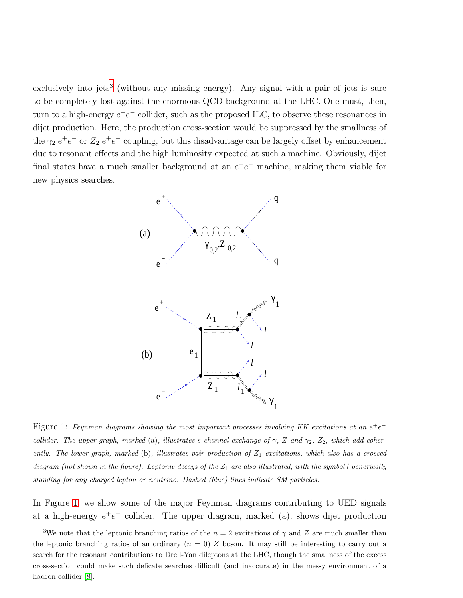exclusively into jets<sup>[3](#page-4-0)</sup> (without any missing energy). Any signal with a pair of jets is sure to be completely lost against the enormous QCD background at the LHC. One must, then, turn to a high-energy  $e^+e^-$  collider, such as the proposed ILC, to observe these resonances in dijet production. Here, the production cross-section would be suppressed by the smallness of the  $\gamma_2 e^+e^-$  or  $Z_2 e^+e^-$  coupling, but this disadvantage can be largely offset by enhancement due to resonant effects and the high luminosity expected at such a machine. Obviously, dijet final states have a much smaller background at an  $e^+e^-$  machine, making them viable for new physics searches.



<span id="page-4-1"></span>Figure 1: Feynman diagrams showing the most important processes involving KK excitations at an  $e^+e^$ collider. The upper graph, marked (a), illustrates s-channel exchange of  $\gamma$ , Z and  $\gamma_2$ , Z<sub>2</sub>, which add coherently. The lower graph, marked (b), illustrates pair production of  $Z_1$  excitations, which also has a crossed diagram (not shown in the figure). Leptonic decays of the  $Z_1$  are also illustrated, with the symbol l generically standing for any charged lepton or neutrino. Dashed (blue) lines indicate SM particles.

In Figure [1,](#page-4-1) we show some of the major Feynman diagrams contributing to UED signals at a high-energy  $e^+e^-$  collider. The upper diagram, marked (a), shows dijet production

<span id="page-4-0"></span><sup>&</sup>lt;sup>3</sup>We note that the leptonic branching ratios of the  $n = 2$  excitations of  $\gamma$  and Z are much smaller than the leptonic branching ratios of an ordinary  $(n = 0)$  Z boson. It may still be interesting to carry out a search for the resonant contributions to Drell-Yan dileptons at the LHC, though the smallness of the excess cross-section could make such delicate searches difficult (and inaccurate) in the messy environment of a hadron collider [\[8\]](#page-35-5).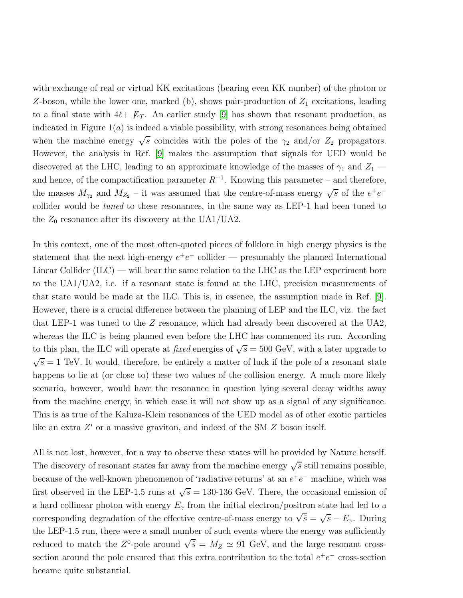with exchange of real or virtual KK excitations (bearing even KK number) of the photon or Z-boson, while the lower one, marked (b), shows pair-production of  $Z_1$  excitations, leading to a final state with  $4\ell + \not{E}_T$ . An earlier study [\[9\]](#page-35-6) has shown that resonant production, as indicated in Figure  $1(a)$  is indeed a viable possibility, with strong resonances being obtained when the machine energy  $\sqrt{s}$  coincides with the poles of the  $\gamma_2$  and/or  $Z_2$  propagators. However, the analysis in Ref. [\[9\]](#page-35-6) makes the assumption that signals for UED would be discovered at the LHC, leading to an approximate knowledge of the masses of  $\gamma_1$  and  $Z_1$  and hence, of the compactification parameter  $R^{-1}$ . Knowing this parameter – and therefore, the masses  $M_{\gamma_2}$  and  $M_{Z_2}$  – it was assumed that the centre-of-mass energy  $\sqrt{s}$  of the  $e^+e^$ collider would be tuned to these resonances, in the same way as LEP-1 had been tuned to the  $Z_0$  resonance after its discovery at the UA1/UA2.

In this context, one of the most often-quoted pieces of folklore in high energy physics is the statement that the next high-energy  $e^+e^-$  collider — presumably the planned International Linear Collider  $(ILC)$  — will bear the same relation to the LHC as the LEP experiment bore to the UA1/UA2, i.e. if a resonant state is found at the LHC, precision measurements of that state would be made at the ILC. This is, in essence, the assumption made in Ref. [\[9\]](#page-35-6). However, there is a crucial difference between the planning of LEP and the ILC, viz. the fact that LEP-1 was tuned to the Z resonance, which had already been discovered at the UA2, whereas the ILC is being planned even before the LHC has commenced its run. According to this plan, the ILC will operate at *fixed* energies of  $\sqrt{s} = 500$  GeV, with a later upgrade to  $\sqrt{s} = 1$  TeV. It would, therefore, be entirely a matter of luck if the pole of a resonant state happens to lie at (or close to) these two values of the collision energy. A much more likely scenario, however, would have the resonance in question lying several decay widths away from the machine energy, in which case it will not show up as a signal of any significance. This is as true of the Kaluza-Klein resonances of the UED model as of other exotic particles like an extra Z' or a massive graviton, and indeed of the SM Z boson itself.

All is not lost, however, for a way to observe these states will be provided by Nature herself. The discovery of resonant states far away from the machine energy  $\sqrt{s}$  still remains possible, because of the well-known phenomenon of 'radiative returns' at an  $e^+e^-$  machine, which was first observed in the LEP-1.5 runs at  $\sqrt{s} = 130$ -136 GeV. There, the occasional emission of a hard collinear photon with energy  $E_{\gamma}$  from the initial electron/positron state had led to a corresponding degradation of the effective centre-of-mass energy to  $\sqrt{\hat{s}} = \sqrt{s} - E_{\gamma}$ . During the LEP-1.5 run, there were a small number of such events where the energy was sufficiently reduced to match the  $Z^0$ -pole around  $\sqrt{\hat{s}} = M_Z \simeq 91$  GeV, and the large resonant crosssection around the pole ensured that this extra contribution to the total  $e^+e^-$  cross-section became quite substantial.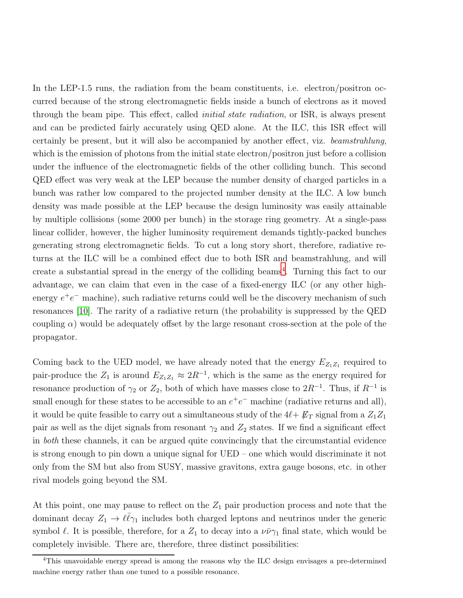In the LEP-1.5 runs, the radiation from the beam constituents, i.e. electron/positron occurred because of the strong electromagnetic fields inside a bunch of electrons as it moved through the beam pipe. This effect, called *initial state radiation*, or ISR, is always present and can be predicted fairly accurately using QED alone. At the ILC, this ISR effect will certainly be present, but it will also be accompanied by another effect, viz. beamstrahlung, which is the emission of photons from the initial state electron/positron just before a collision under the influence of the electromagnetic fields of the other colliding bunch. This second QED effect was very weak at the LEP because the number density of charged particles in a bunch was rather low compared to the projected number density at the ILC. A low bunch density was made possible at the LEP because the design luminosity was easily attainable by multiple collisions (some 2000 per bunch) in the storage ring geometry. At a single-pass linear collider, however, the higher luminosity requirement demands tightly-packed bunches generating strong electromagnetic fields. To cut a long story short, therefore, radiative returns at the ILC will be a combined effect due to both ISR and beamstrahlung, and will create a substantial spread in the energy of the colliding beams<sup>[4](#page-6-0)</sup>. Turning this fact to our advantage, we can claim that even in the case of a fixed-energy ILC (or any other highenergy  $e^+e^-$  machine), such radiative returns could well be the discovery mechanism of such resonances [\[10\]](#page-35-7). The rarity of a radiative return (the probability is suppressed by the QED coupling  $\alpha$ ) would be adequately offset by the large resonant cross-section at the pole of the propagator.

Coming back to the UED model, we have already noted that the energy  $E_{Z_1Z_1}$  required to pair-produce the  $Z_1$  is around  $E_{Z_1Z_1} \approx 2R^{-1}$ , which is the same as the energy required for resonance production of  $\gamma_2$  or  $Z_2$ , both of which have masses close to  $2R^{-1}$ . Thus, if  $R^{-1}$  is small enough for these states to be accessible to an  $e^+e^-$  machine (radiative returns and all), it would be quite feasible to carry out a simultaneous study of the  $4\ell + \not{E}_T$  signal from a  $Z_1Z_1$ pair as well as the dijet signals from resonant  $\gamma_2$  and  $Z_2$  states. If we find a significant effect in both these channels, it can be argued quite convincingly that the circumstantial evidence is strong enough to pin down a unique signal for UED – one which would discriminate it not only from the SM but also from SUSY, massive gravitons, extra gauge bosons, etc. in other rival models going beyond the SM.

At this point, one may pause to reflect on the  $Z_1$  pair production process and note that the dominant decay  $Z_1 \to \ell \bar{\ell} \gamma_1$  includes both charged leptons and neutrinos under the generic symbol  $\ell$ . It is possible, therefore, for a  $Z_1$  to decay into a  $\nu\bar{\nu}\gamma_1$  final state, which would be completely invisible. There are, therefore, three distinct possibilities:

<span id="page-6-0"></span><sup>&</sup>lt;sup>4</sup>This unavoidable energy spread is among the reasons why the ILC design envisages a pre-determined machine energy rather than one tuned to a possible resonance.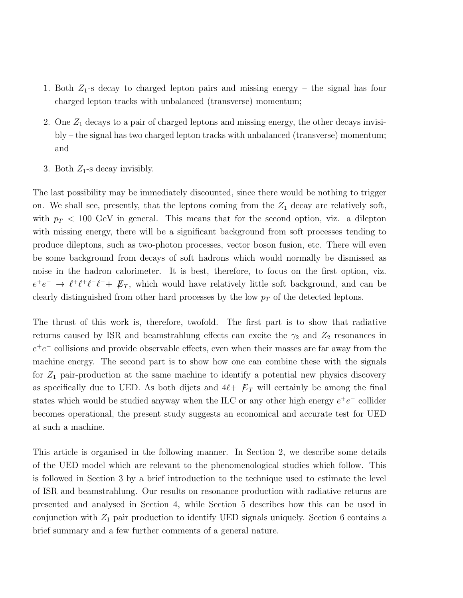- 1. Both  $Z_1$ -s decay to charged lepton pairs and missing energy the signal has four charged lepton tracks with unbalanced (transverse) momentum;
- 2. One  $Z_1$  decays to a pair of charged leptons and missing energy, the other decays invisibly – the signal has two charged lepton tracks with unbalanced (transverse) momentum; and
- 3. Both  $Z_1$ -s decay invisibly.

The last possibility may be immediately discounted, since there would be nothing to trigger on. We shall see, presently, that the leptons coming from the  $Z_1$  decay are relatively soft, with  $p_T < 100$  GeV in general. This means that for the second option, viz. a dilepton with missing energy, there will be a significant background from soft processes tending to produce dileptons, such as two-photon processes, vector boson fusion, etc. There will even be some background from decays of soft hadrons which would normally be dismissed as noise in the hadron calorimeter. It is best, therefore, to focus on the first option, viz.  $e^+e^- \rightarrow \ell^+\ell^+\ell^-\ell^- + \not\!\!E_T$ , which would have relatively little soft background, and can be clearly distinguished from other hard processes by the low  $p_T$  of the detected leptons.

The thrust of this work is, therefore, twofold. The first part is to show that radiative returns caused by ISR and beamstrahlung effects can excite the  $\gamma_2$  and  $Z_2$  resonances in  $e^+e^-$  collisions and provide observable effects, even when their masses are far away from the machine energy. The second part is to show how one can combine these with the signals for  $Z_1$  pair-production at the same machine to identify a potential new physics discovery as specifically due to UED. As both dijets and  $4\ell + \not{E}_T$  will certainly be among the final states which would be studied anyway when the ILC or any other high energy  $e^+e^-$  collider becomes operational, the present study suggests an economical and accurate test for UED at such a machine.

This article is organised in the following manner. In Section 2, we describe some details of the UED model which are relevant to the phenomenological studies which follow. This is followed in Section 3 by a brief introduction to the technique used to estimate the level of ISR and beamstrahlung. Our results on resonance production with radiative returns are presented and analysed in Section 4, while Section 5 describes how this can be used in conjunction with  $Z_1$  pair production to identify UED signals uniquely. Section 6 contains a brief summary and a few further comments of a general nature.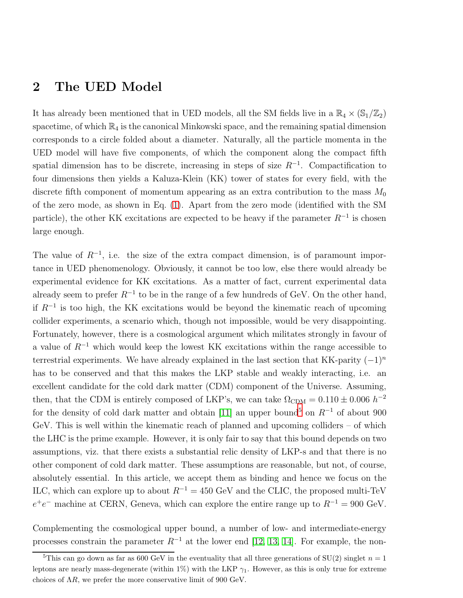#### 2 The UED Model

It has already been mentioned that in UED models, all the SM fields live in a  $\mathbb{R}_4 \times (\mathbb{S}_1/\mathbb{Z}_2)$ spacetime, of which  $\mathbb{R}_4$  is the canonical Minkowski space, and the remaining spatial dimension corresponds to a circle folded about a diameter. Naturally, all the particle momenta in the UED model will have five components, of which the component along the compact fifth spatial dimension has to be discrete, increasing in steps of size  $R^{-1}$ . Compactification to four dimensions then yields a Kaluza-Klein (KK) tower of states for every field, with the discrete fifth component of momentum appearing as an extra contribution to the mass  $M_0$ of the zero mode, as shown in Eq. [\(1\)](#page-1-0). Apart from the zero mode (identified with the SM particle), the other KK excitations are expected to be heavy if the parameter  $R^{-1}$  is chosen large enough.

The value of  $R^{-1}$ , i.e. the size of the extra compact dimension, is of paramount importance in UED phenomenology. Obviously, it cannot be too low, else there would already be experimental evidence for KK excitations. As a matter of fact, current experimental data already seem to prefer  $R^{-1}$  to be in the range of a few hundreds of GeV. On the other hand, if R<sup>−</sup><sup>1</sup> is too high, the KK excitations would be beyond the kinematic reach of upcoming collider experiments, a scenario which, though not impossible, would be very disappointing. Fortunately, however, there is a cosmological argument which militates strongly in favour of a value of  $R^{-1}$  which would keep the lowest KK excitations within the range accessible to terrestrial experiments. We have already explained in the last section that KK-parity  $(-1)^n$ has to be conserved and that this makes the LKP stable and weakly interacting, i.e. an excellent candidate for the cold dark matter (CDM) component of the Universe. Assuming, then, that the CDM is entirely composed of LKP's, we can take  $\Omega_{\rm CDM} = 0.110 \pm 0.006 h^{-2}$ for the density of cold dark matter and obtain [\[11\]](#page-35-8) an upper bound<sup>[5](#page-8-0)</sup> on  $R^{-1}$  of about 900 GeV. This is well within the kinematic reach of planned and upcoming colliders – of which the LHC is the prime example. However, it is only fair to say that this bound depends on two assumptions, viz. that there exists a substantial relic density of LKP-s and that there is no other component of cold dark matter. These assumptions are reasonable, but not, of course, absolutely essential. In this article, we accept them as binding and hence we focus on the ILC, which can explore up to about  $R^{-1} = 450 \text{ GeV}$  and the CLIC, the proposed multi-TeV  $e^+e^-$  machine at CERN, Geneva, which can explore the entire range up to  $R^{-1} = 900 \text{ GeV}$ .

Complementing the cosmological upper bound, a number of low- and intermediate-energy processes constrain the parameter  $R^{-1}$  at the lower end [\[12,](#page-35-9) [13,](#page-35-10) [14\]](#page-35-11). For example, the non-

<span id="page-8-0"></span><sup>&</sup>lt;sup>5</sup>This can go down as far as 600 GeV in the eventuality that all three generations of SU(2) singlet  $n = 1$ leptons are nearly mass-degenerate (within 1%) with the LKP  $\gamma_1$ . However, as this is only true for extreme choices of  $\Lambda R$ , we prefer the more conservative limit of 900 GeV.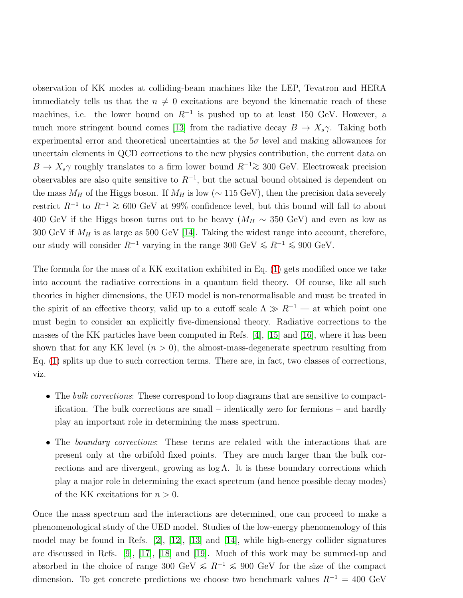observation of KK modes at colliding-beam machines like the LEP, Tevatron and HERA immediately tells us that the  $n \neq 0$  excitations are beyond the kinematic reach of these machines, i.e. the lower bound on  $R^{-1}$  is pushed up to at least 150 GeV. However, a much more stringent bound comes [\[13\]](#page-35-10) from the radiative decay  $B \to X_s \gamma$ . Taking both experimental error and theoretical uncertainties at the  $5\sigma$  level and making allowances for uncertain elements in QCD corrections to the new physics contribution, the current data on  $B \to X_s \gamma$  roughly translates to a firm lower bound  $R^{-1} \gtrsim 300$  GeV. Electroweak precision observables are also quite sensitive to  $R^{-1}$ , but the actual bound obtained is dependent on the mass  $M_H$  of the Higgs boson. If  $M_H$  is low ( $\sim$  115 GeV), then the precision data severely restrict  $R^{-1}$  to  $R^{-1} \geq 600$  GeV at 99% confidence level, but this bound will fall to about 400 GeV if the Higgs boson turns out to be heavy ( $M_H \sim 350$  GeV) and even as low as 300 GeV if  $M_H$  is as large as 500 GeV [\[14\]](#page-35-11). Taking the widest range into account, therefore, our study will consider  $R^{-1}$  varying in the range 300 GeV  $\le R^{-1} \le 900$  GeV.

The formula for the mass of a KK excitation exhibited in Eq. [\(1\)](#page-1-0) gets modified once we take into account the radiative corrections in a quantum field theory. Of course, like all such theories in higher dimensions, the UED model is non-renormalisable and must be treated in the spirit of an effective theory, valid up to a cutoff scale  $\Lambda \gg R^{-1}$  — at which point one must begin to consider an explicitly five-dimensional theory. Radiative corrections to the masses of the KK particles have been computed in Refs. [\[4\]](#page-35-1), [\[15\]](#page-35-12) and [\[16\]](#page-35-13), where it has been shown that for any KK level  $(n > 0)$ , the almost-mass-degenerate spectrum resulting from Eq. [\(1\)](#page-1-0) splits up due to such correction terms. There are, in fact, two classes of corrections, viz.

- The bulk corrections: These correspond to loop diagrams that are sensitive to compactification. The bulk corrections are small – identically zero for fermions – and hardly play an important role in determining the mass spectrum.
- The *boundary corrections*: These terms are related with the interactions that are present only at the orbifold fixed points. They are much larger than the bulk corrections and are divergent, growing as  $log \Lambda$ . It is these boundary corrections which play a major role in determining the exact spectrum (and hence possible decay modes) of the KK excitations for  $n > 0$ .

Once the mass spectrum and the interactions are determined, one can proceed to make a phenomenological study of the UED model. Studies of the low-energy phenomenology of this model may be found in Refs.  $[2]$ ,  $[12]$ ,  $[13]$  and  $[14]$ , while high-energy collider signatures are discussed in Refs. [\[9\]](#page-35-6), [\[17\]](#page-35-14), [\[18\]](#page-36-0) and [\[19\]](#page-36-1). Much of this work may be summed-up and absorbed in the choice of range 300 GeV  $\leq R^{-1} \leq 900$  GeV for the size of the compact dimension. To get concrete predictions we choose two benchmark values  $R^{-1} = 400 \text{ GeV}$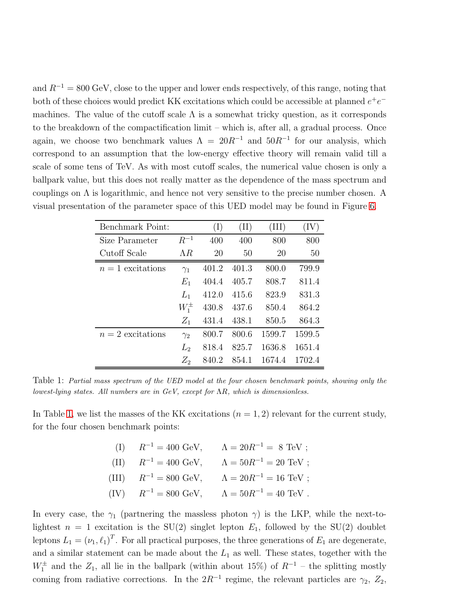and  $R^{-1} = 800 \text{ GeV}$ , close to the upper and lower ends respectively, of this range, noting that both of these choices would predict KK excitations which could be accessible at planned  $e^+e^$ machines. The value of the cutoff scale  $\Lambda$  is a somewhat tricky question, as it corresponds to the breakdown of the compactification limit – which is, after all, a gradual process. Once again, we choose two benchmark values  $\Lambda = 20R^{-1}$  and  $50R^{-1}$  for our analysis, which correspond to an assumption that the low-energy effective theory will remain valid till a scale of some tens of TeV. As with most cutoff scales, the numerical value chosen is only a ballpark value, but this does not really matter as the dependence of the mass spectrum and couplings on  $\Lambda$  is logarithmic, and hence not very sensitive to the precise number chosen. A visual presentation of the parameter space of this UED model may be found in Figure [6.](#page-28-0)

| Benchmark Point:  |             | (I)   | (II)  | (III)  | $\left( \text{IV}\right)$ |
|-------------------|-------------|-------|-------|--------|---------------------------|
| Size Parameter    | $R^{-1}$    | 400   | 400   | 800    | 800                       |
| Cutoff Scale      | $\Lambda R$ | 20    | 50    | 20     | 50                        |
| $n=1$ excitations | $\gamma_1$  | 401.2 | 401.3 | 800.0  | 799.9                     |
|                   | $E_1$       | 404.4 | 405.7 | 808.7  | 811.4                     |
|                   | $L_1$       | 412.0 | 415.6 | 823.9  | 831.3                     |
|                   | $W_1^{\pm}$ | 430.8 | 437.6 | 850.4  | 864.2                     |
|                   | $Z_1$       | 431.4 | 438.1 | 850.5  | 864.3                     |
| $n=2$ excitations | $\gamma_2$  | 800.7 | 800.6 | 1599.7 | 1599.5                    |
|                   | $L_2$       | 818.4 | 825.7 | 1636.8 | 1651.4                    |
|                   | $Z_2$       | 840.2 | 854.1 | 1674.4 | 1702.4                    |

<span id="page-10-0"></span>Table 1: Partial mass spectrum of the UED model at the four chosen benchmark points, showing only the lowest-lying states. All numbers are in GeV, except for ΛR, which is dimensionless.

In Table [1,](#page-10-0) we list the masses of the KK excitations  $(n = 1, 2)$  relevant for the current study, for the four chosen benchmark points:

| (I) $R^{-1} = 400 \text{ GeV},$   | $\Lambda = 20R^{-1} = 8 \text{ TeV};$  |
|-----------------------------------|----------------------------------------|
| (II) $R^{-1} = 400 \text{ GeV},$  | $\Lambda = 50R^{-1} = 20 \text{ TeV};$ |
| (III) $R^{-1} = 800 \text{ GeV},$ | $\Lambda = 20R^{-1} = 16 \text{ TeV};$ |
| (IV) $R^{-1} = 800 \text{ GeV},$  | $\Lambda = 50R^{-1} = 40 \text{ TeV}.$ |

In every case, the  $\gamma_1$  (partnering the massless photon  $\gamma$ ) is the LKP, while the next-tolightest  $n = 1$  excitation is the SU(2) singlet lepton  $E_1$ , followed by the SU(2) doublet leptons  $L_1 = (\nu_1, \ell_1)^T$ . For all practical purposes, the three generations of  $E_1$  are degenerate, and a similar statement can be made about the  $L_1$  as well. These states, together with the  $W_1^{\pm}$  and the  $Z_1$ , all lie in the ballpark (within about 15%) of  $R^{-1}$  – the splitting mostly coming from radiative corrections. In the  $2R^{-1}$  regime, the relevant particles are  $\gamma_2$ ,  $Z_2$ ,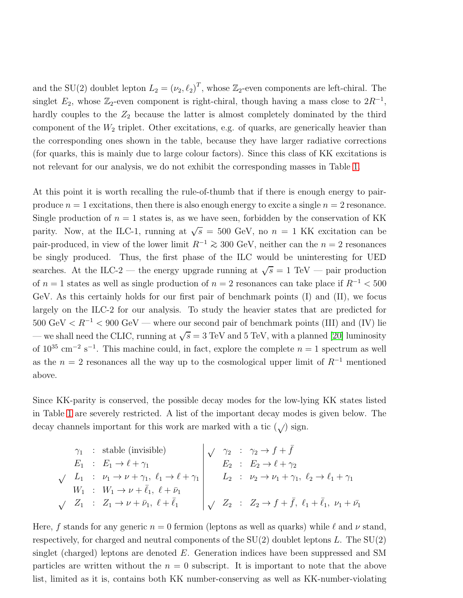and the SU(2) doublet lepton  $L_2 = (\nu_2, \ell_2)^T$ , whose  $\mathbb{Z}_2$ -even components are left-chiral. The singlet  $E_2$ , whose  $\mathbb{Z}_2$ -even component is right-chiral, though having a mass close to  $2R^{-1}$ , hardly couples to the  $Z_2$  because the latter is almost completely dominated by the third component of the  $W_2$  triplet. Other excitations, e.g. of quarks, are generically heavier than the corresponding ones shown in the table, because they have larger radiative corrections (for quarks, this is mainly due to large colour factors). Since this class of KK excitations is not relevant for our analysis, we do not exhibit the corresponding masses in Table [1.](#page-10-0)

At this point it is worth recalling the rule-of-thumb that if there is enough energy to pairproduce  $n = 1$  excitations, then there is also enough energy to excite a single  $n = 2$  resonance. Single production of  $n = 1$  states is, as we have seen, forbidden by the conservation of KK parity. Now, at the ILC-1, running at  $\sqrt{s} = 500$  GeV, no  $n = 1$  KK excitation can be pair-produced, in view of the lower limit  $R^{-1} \ge 300$  GeV, neither can the  $n = 2$  resonances be singly produced. Thus, the first phase of the ILC would be uninteresting for UED searches. At the ILC-2 — the energy upgrade running at  $\sqrt{s} = 1$  TeV — pair production of  $n = 1$  states as well as single production of  $n = 2$  resonances can take place if  $R^{-1} < 500$ GeV. As this certainly holds for our first pair of benchmark points (I) and (II), we focus largely on the ILC-2 for our analysis. To study the heavier states that are predicted for  $500 \text{ GeV} < R^{-1} < 900 \text{ GeV}$  — where our second pair of benchmark points (III) and (IV) lie — we shall need the CLIC, running at  $\sqrt{s} = 3$  TeV and 5 TeV, with a planned [\[20\]](#page-36-2) luminosity of  $10^{35}$  cm<sup>-2</sup> s<sup>-1</sup>. This machine could, in fact, explore the complete  $n = 1$  spectrum as well as the  $n = 2$  resonances all the way up to the cosmological upper limit of  $R^{-1}$  mentioned above.

Since KK-parity is conserved, the possible decay modes for the low-lying KK states listed in Table [1](#page-10-0) are severely restricted. A list of the important decay modes is given below. The decay channels important for this work are marked with a tic  $(\surd)$  sign.

$$
\begin{array}{rcl}\n\gamma_1 & \text{: stable (invisible)} \\
E_1 & \text{: } E_1 \to \ell + \gamma_1 \\
\sqrt{L_1} & \text{: } \nu_1 \to \nu + \gamma_1, \ \ell_1 \to \ell + \gamma_1 \\
W_1 & \text{: } W_1 \to \nu + \bar{\ell}_1, \ \ell + \bar{\nu}_1 \\
\sqrt{Z_1} & \text{: } Z_1 \to \nu + \bar{\nu}_1, \ \ell + \bar{\ell}_1\n\end{array}\n\bigg| \n\begin{array}{rcl}\n\sqrt{\gamma_2} & \text{: } \ \gamma_2 \to f + \bar{f} \\
E_2 & \text{: } E_2 \to \ell + \gamma_2 \\
L_2 & \text{: } E_2 \to \ell + \gamma_1, \ \ell_2 \to \ell_1 + \gamma_1 \\
L_2 & \text{: } \ \nu_2 \to \nu_1 + \gamma_1, \ \ell_2 \to \ell_1 + \gamma_1 \\
\sqrt{Z_2} & \text{: } Z_2 \to f + \bar{f}, \ \ell_1 + \bar{\ell}_1, \ \nu_1 + \bar{\nu}_1\n\end{array}
$$

Here, f stands for any generic  $n = 0$  fermion (leptons as well as quarks) while  $\ell$  and  $\nu$  stand, respectively, for charged and neutral components of the  $SU(2)$  doublet leptons L. The  $SU(2)$ singlet (charged) leptons are denoted E. Generation indices have been suppressed and SM particles are written without the  $n = 0$  subscript. It is important to note that the above list, limited as it is, contains both KK number-conserving as well as KK-number-violating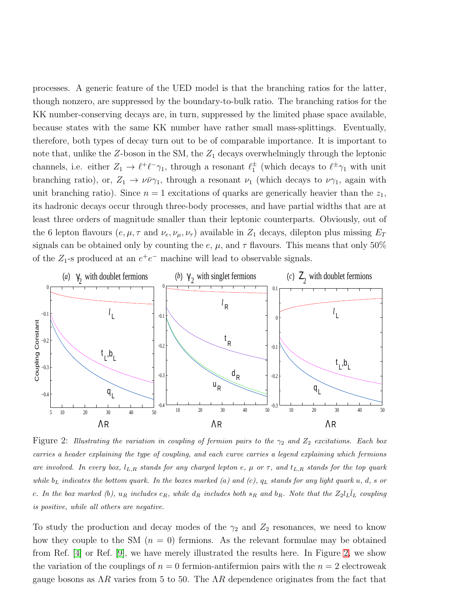processes. A generic feature of the UED model is that the branching ratios for the latter, though nonzero, are suppressed by the boundary-to-bulk ratio. The branching ratios for the KK number-conserving decays are, in turn, suppressed by the limited phase space available, because states with the same KK number have rather small mass-splittings. Eventually, therefore, both types of decay turn out to be of comparable importance. It is important to note that, unlike the  $Z$ -boson in the SM, the  $Z_1$  decays overwhelmingly through the leptonic channels, i.e. either  $Z_1 \to \ell^+ \ell^- \gamma_1$ , through a resonant  $\ell_1^{\pm}$  $_1^{\pm}$  (which decays to  $\ell^{\pm}\gamma_1$  with unit branching ratio), or,  $Z_1 \rightarrow \nu \bar{\nu} \gamma_1$ , through a resonant  $\nu_1$  (which decays to  $\nu \gamma_1$ , again with unit branching ratio). Since  $n = 1$  excitations of quarks are generically heavier than the  $z_1$ , its hadronic decays occur through three-body processes, and have partial widths that are at least three orders of magnitude smaller than their leptonic counterparts. Obviously, out of the 6 lepton flavours  $(e, \mu, \tau \text{ and } \nu_e, \nu_\mu, \nu_\tau)$  available in  $Z_1$  decays, dilepton plus missing  $E_T$ signals can be obtained only by counting the e,  $\mu$ , and  $\tau$  flavours. This means that only 50% of the  $Z_1$ -s produced at an  $e^+e^-$  machine will lead to observable signals.



<span id="page-12-0"></span>Figure 2: Illustrating the variation in coupling of fermion pairs to the  $\gamma_2$  and  $Z_2$  excitations. Each box carries a header explaining the type of coupling, and each curve carries a legend explaining which fermions are involved. In every box,  $l_{L,R}$  stands for any charged lepton e,  $\mu$  or  $\tau$ , and  $t_{L,R}$  stands for the top quark while  $b_L$  indicates the bottom quark. In the boxes marked (a) and (c),  $q_L$  stands for any light quark u, d, s or c. In the box marked (b),  $u_R$  includes  $c_R$ , while  $d_R$  includes both  $s_R$  and  $b_R$ . Note that the  $Z_2 l_L \overline{l}_L$  coupling is positive, while all others are negative.

To study the production and decay modes of the  $\gamma_2$  and  $Z_2$  resonances, we need to know how they couple to the SM  $(n = 0)$  fermions. As the relevant formulae may be obtained from Ref. [\[4\]](#page-35-1) or Ref. [\[9\]](#page-35-6), we have merely illustrated the results here. In Figure [2,](#page-12-0) we show the variation of the couplings of  $n = 0$  fermion-antifermion pairs with the  $n = 2$  electroweak gauge bosons as  $\Lambda R$  varies from 5 to 50. The  $\Lambda R$  dependence originates from the fact that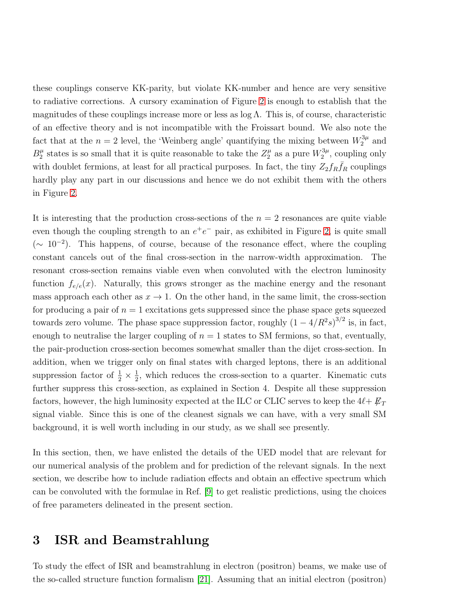these couplings conserve KK-parity, but violate KK-number and hence are very sensitive to radiative corrections. A cursory examination of Figure [2](#page-12-0) is enough to establish that the magnitudes of these couplings increase more or less as  $log \Lambda$ . This is, of course, characteristic of an effective theory and is not incompatible with the Froissart bound. We also note the fact that at the  $n = 2$  level, the 'Weinberg angle' quantifying the mixing between  $W_2^{3\mu}$  and  $B_2^{\mu}$  $\frac{\mu}{2}$  states is so small that it is quite reasonable to take the  $Z_2^{\mu}$  $\frac{\mu}{2}$  as a pure  $W_2^{3\mu}$  $2^{\prime\prime}$ , coupling only with doublet fermions, at least for all practical purposes. In fact, the tiny  $Z_2f_R\bar{f}_R$  couplings hardly play any part in our discussions and hence we do not exhibit them with the others in Figure [2.](#page-12-0)

It is interesting that the production cross-sections of the  $n = 2$  resonances are quite viable even though the coupling strength to an  $e^+e^-$  pair, as exhibited in Figure [2,](#page-12-0) is quite small ( $\sim 10^{-2}$ ). This happens, of course, because of the resonance effect, where the coupling constant cancels out of the final cross-section in the narrow-width approximation. The resonant cross-section remains viable even when convoluted with the electron luminosity function  $f_{e/e}(x)$ . Naturally, this grows stronger as the machine energy and the resonant mass approach each other as  $x \to 1$ . On the other hand, in the same limit, the cross-section for producing a pair of  $n = 1$  excitations gets suppressed since the phase space gets squeezed towards zero volume. The phase space suppression factor, roughly  $(1 - 4/R^2 s)^{3/2}$  is, in fact, enough to neutralise the larger coupling of  $n = 1$  states to SM fermions, so that, eventually, the pair-production cross-section becomes somewhat smaller than the dijet cross-section. In addition, when we trigger only on final states with charged leptons, there is an additional suppression factor of  $\frac{1}{2} \times \frac{1}{2}$  $\frac{1}{2}$ , which reduces the cross-section to a quarter. Kinematic cuts further suppress this cross-section, as explained in Section 4. Despite all these suppression factors, however, the high luminosity expected at the ILC or CLIC serves to keep the  $4\ell + \not{E}_T$ signal viable. Since this is one of the cleanest signals we can have, with a very small SM background, it is well worth including in our study, as we shall see presently.

In this section, then, we have enlisted the details of the UED model that are relevant for our numerical analysis of the problem and for prediction of the relevant signals. In the next section, we describe how to include radiation effects and obtain an effective spectrum which can be convoluted with the formulae in Ref. [\[9\]](#page-35-6) to get realistic predictions, using the choices of free parameters delineated in the present section.

#### 3 ISR and Beamstrahlung

To study the effect of ISR and beamstrahlung in electron (positron) beams, we make use of the so-called structure function formalism [\[21\]](#page-36-3). Assuming that an initial electron (positron)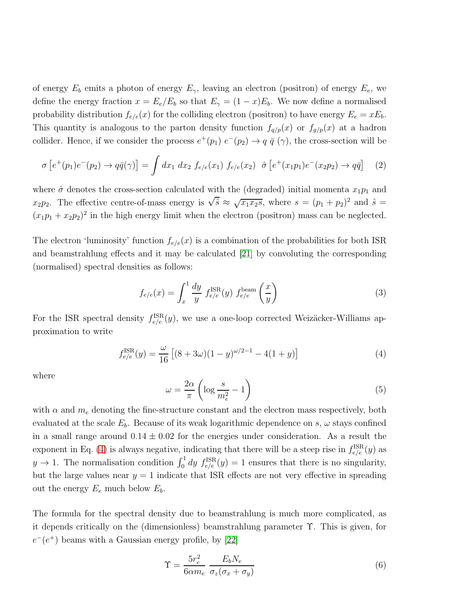of energy  $E_b$  emits a photon of energy  $E_{\gamma}$ , leaving an electron (positron) of energy  $E_e$ , we define the energy fraction  $x = E_e/E_b$  so that  $E_\gamma = (1 - x)E_b$ . We now define a normalised probability distribution  $f_{e/e}(x)$  for the colliding electron (positron) to have energy  $E_e = xE_b$ . This quantity is analogous to the parton density function  $f_{q/p}(x)$  or  $f_{q/p}(x)$  at a hadron collider. Hence, if we consider the process  $e^+(p_1)$   $e^-(p_2) \to q \bar{q}$  ( $\gamma$ ), the cross-section will be

$$
\sigma \left[ e^+(p_1)e^-(p_2) \to q\bar{q}(\gamma) \right] = \int dx_1 \ dx_2 \ f_{e/e}(x_1) \ f_{e/e}(x_2) \ \ \hat{\sigma} \left[ e^+(x_1p_1)e^-(x_2p_2) \to q\bar{q} \right] \tag{2}
$$

where  $\hat{\sigma}$  denotes the cross-section calculated with the (degraded) initial momenta  $x_1p_1$  and  $x_2p_2$ . The effective centre-of-mass energy is  $\sqrt{\hat{s}} \approx \sqrt{x_1x_2s}$ , where  $s = (p_1 + p_2)^2$  and  $\hat{s} =$  $(x_1p_1 + x_2p_2)^2$  in the high energy limit when the electron (positron) mass can be neglected.

The electron 'luminosity' function  $f_{e/e}(x)$  is a combination of the probabilities for both ISR and beamstrahlung effects and it may be calculated [\[21\]](#page-36-3) by convoluting the corresponding (normalised) spectral densities as follows:

<span id="page-14-1"></span>
$$
f_{e/e}(x) = \int_x^1 \frac{dy}{y} f_{e/e}^{\text{ISR}}(y) f_{e/e}^{\text{beam}}\left(\frac{x}{y}\right)
$$
 (3)

For the ISR spectral density  $f_{e/e}^{ISR}(y)$ , we use a one-loop corrected Weizäcker-Williams approximation to write

<span id="page-14-0"></span>
$$
f_{e/e}^{\text{ISR}}(y) = \frac{\omega}{16} \left[ (8 + 3\omega)(1 - y)^{\omega/2 - 1} - 4(1 + y) \right] \tag{4}
$$

where

$$
\omega = \frac{2\alpha}{\pi} \left( \log \frac{s}{m_e^2} - 1 \right) \tag{5}
$$

with  $\alpha$  and  $m_e$  denoting the fine-structure constant and the electron mass respectively, both evaluated at the scale  $E_b$ . Because of its weak logarithmic dependence on s,  $\omega$  stays confined in a small range around  $0.14 \pm 0.02$  for the energies under consideration. As a result the exponent in Eq. [\(4\)](#page-14-0) is always negative, indicating that there will be a steep rise in  $f_{e/e}^{\text{ISR}}(y)$  as  $y \to 1$ . The normalisation condition  $\int_0^1 dy f_{e/e}^{ISR}(y) = 1$  ensures that there is no singularity, but the large values near  $y = 1$  indicate that ISR effects are not very effective in spreading out the energy  $E_e$  much below  $E_b$ .

The formula for the spectral density due to beamstrahlung is much more complicated, as it depends critically on the (dimensionless) beamstrahlung parameter Υ. This is given, for  $e^-(e^+)$  beams with a Gaussian energy profile, by [\[22\]](#page-36-4)

$$
\Upsilon = \frac{5r_e^2}{6\alpha m_e} \frac{E_b N_e}{\sigma_z(\sigma_x + \sigma_y)}
$$
(6)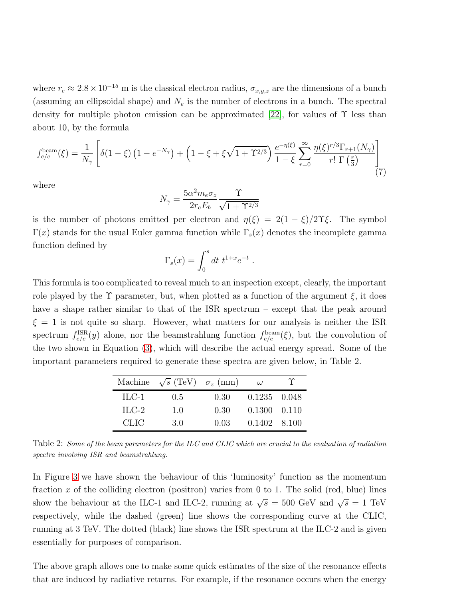where  $r_e \approx 2.8 \times 10^{-15}$  m is the classical electron radius,  $\sigma_{x,y,z}$  are the dimensions of a bunch (assuming an ellipsoidal shape) and  $N_e$  is the number of electrons in a bunch. The spectral density for multiple photon emission can be approximated [\[22\]](#page-36-4), for values of  $\Upsilon$  less than about 10, by the formula

$$
f_{e/e}^{\text{beam}}(\xi) = \frac{1}{N_{\gamma}} \left[ \delta(1-\xi) \left(1 - e^{-N_{\gamma}}\right) + \left(1 - \xi + \xi\sqrt{1+\Upsilon^{2/3}}\right) \frac{e^{-\eta(\xi)}}{1-\xi} \sum_{r=0}^{\infty} \frac{\eta(\xi)^{r/3} \Gamma_{r+1}(N_{\gamma})}{r! \Gamma\left(\frac{r}{3}\right)} \right] \tag{7}
$$

where

$$
N_{\gamma} = \frac{5\alpha^2 m_e \sigma_z}{2r_e E_b} \frac{\Upsilon}{\sqrt{1 + \Upsilon^{2/3}}}
$$

is the number of photons emitted per electron and  $\eta(\xi) = 2(1 - \xi)/2\Upsilon\xi$ . The symbol Γ(x) stands for the usual Euler gamma function while  $\Gamma_s(x)$  denotes the incomplete gamma function defined by

$$
\Gamma_s(x) = \int_0^s dt \ t^{1+x} e^{-t} .
$$

This formula is too complicated to reveal much to an inspection except, clearly, the important role played by the  $\Upsilon$  parameter, but, when plotted as a function of the argument  $\xi$ , it does have a shape rather similar to that of the ISR spectrum – except that the peak around  $\xi = 1$  is not quite so sharp. However, what matters for our analysis is neither the ISR spectrum  $f_{e/e}^{ISR}(y)$  alone, nor the beamstrahlung function  $f_{e/e}^{beam}(\xi)$ , but the convolution of the two shown in Equation [\(3\)](#page-14-1), which will describe the actual energy spread. Some of the important parameters required to generate these spectra are given below, in Table 2.

|         | Machine $\sqrt{s}$ (TeV) $\sigma_z$ (mm) |      | $\omega$             |  |
|---------|------------------------------------------|------|----------------------|--|
| $ILC-1$ | 0.5                                      | 0.30 | $0.1235$ $0.048$     |  |
| $ILC-2$ | 1.0                                      | 0.30 | $0.1300 \quad 0.110$ |  |
| CLIC.   | 30                                       | 0.03 | 0.1402 8.100         |  |

Table 2: Some of the beam parameters for the ILC and CLIC which are crucial to the evaluation of radiation spectra involving ISR and beamstrahlung.

In Figure [3](#page-16-0) we have shown the behaviour of this 'luminosity' function as the momentum fraction x of the colliding electron (positron) varies from 0 to 1. The solid (red, blue) lines show the behaviour at the ILC-1 and ILC-2, running at  $\sqrt{s} = 500$  GeV and  $\sqrt{s} = 1$  TeV respectively, while the dashed (green) line shows the corresponding curve at the CLIC, running at 3 TeV. The dotted (black) line shows the ISR spectrum at the ILC-2 and is given essentially for purposes of comparison.

The above graph allows one to make some quick estimates of the size of the resonance effects that are induced by radiative returns. For example, if the resonance occurs when the energy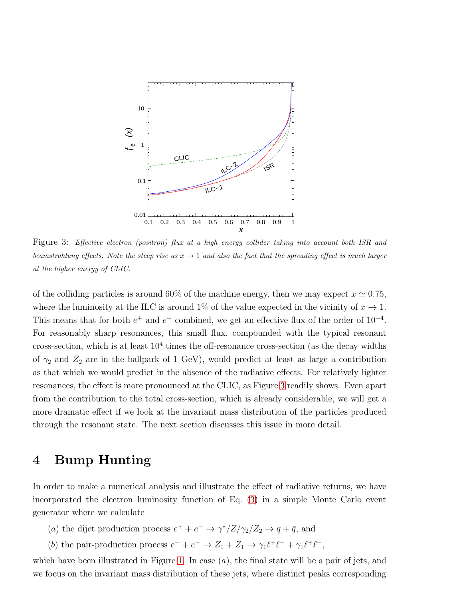

<span id="page-16-0"></span>Figure 3: Effective electron (positron) flux at a high energy collider taking into account both ISR and beamstrahlung effects. Note the steep rise as  $x \to 1$  and also the fact that the spreading effect is much larger at the higher energy of CLIC.

of the colliding particles is around 60% of the machine energy, then we may expect  $x \approx 0.75$ , where the luminosity at the ILC is around 1% of the value expected in the vicinity of  $x \to 1$ . This means that for both  $e^+$  and  $e^-$  combined, we get an effective flux of the order of  $10^{-4}$ . For reasonably sharp resonances, this small flux, compounded with the typical resonant cross-section, which is at least  $10<sup>4</sup>$  times the off-resonance cross-section (as the decay widths of  $\gamma_2$  and  $Z_2$  are in the ballpark of 1 GeV), would predict at least as large a contribution as that which we would predict in the absence of the radiative effects. For relatively lighter resonances, the effect is more pronounced at the CLIC, as Figure [3](#page-16-0) readily shows. Even apart from the contribution to the total cross-section, which is already considerable, we will get a more dramatic effect if we look at the invariant mass distribution of the particles produced through the resonant state. The next section discusses this issue in more detail.

#### 4 Bump Hunting

In order to make a numerical analysis and illustrate the effect of radiative returns, we have incorporated the electron luminosity function of Eq. [\(3\)](#page-14-1) in a simple Monte Carlo event generator where we calculate

- (a) the dijet production process  $e^+ + e^- \rightarrow \gamma^*/Z/\gamma_2/Z_2 \rightarrow q + \bar{q}$ , and
- (b) the pair-production process  $e^+ + e^- \rightarrow Z_1 + Z_1 \rightarrow \gamma_1 \ell^+ \ell^- + \gamma_1 \ell^+ \ell^-,$

which have been illustrated in Figure [1.](#page-4-1) In case  $(a)$ , the final state will be a pair of jets, and we focus on the invariant mass distribution of these jets, where distinct peaks corresponding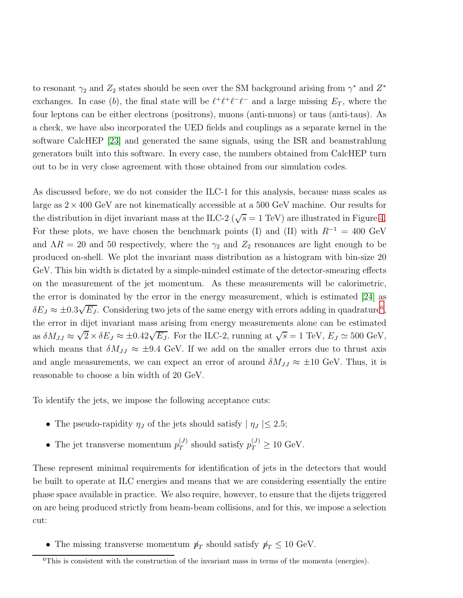to resonant  $\gamma_2$  and  $Z_2$  states should be seen over the SM background arising from  $\gamma^*$  and  $Z^*$ exchanges. In case (b), the final state will be  $\ell^+ \ell^+ \ell^- \ell^-$  and a large missing  $E_T$ , where the four leptons can be either electrons (positrons), muons (anti-muons) or taus (anti-taus). As a check, we have also incorporated the UED fields and couplings as a separate kernel in the software CalcHEP [\[23\]](#page-36-5) and generated the same signals, using the ISR and beamstrahlung generators built into this software. In every case, the numbers obtained from CalcHEP turn out to be in very close agreement with those obtained from our simulation codes.

As discussed before, we do not consider the ILC-1 for this analysis, because mass scales as large as  $2 \times 400$  GeV are not kinematically accessible at a 500 GeV machine. Our results for the distribution in dijet invariant mass at the ILC-2 ( $\sqrt{s} = 1$  TeV) are illustrated in Figure [4.](#page-18-0) For these plots, we have chosen the benchmark points (I) and (II) with  $R^{-1} = 400 \text{ GeV}$ and  $\Lambda R = 20$  and 50 respectively, where the  $\gamma_2$  and  $Z_2$  resonances are light enough to be produced on-shell. We plot the invariant mass distribution as a histogram with bin-size 20 GeV. This bin width is dictated by a simple-minded estimate of the detector-smearing effects on the measurement of the jet momentum. As these measurements will be calorimetric, the error is dominated by the error in the energy measurement, which is estimated [\[24\]](#page-36-6) as  $\delta E_J \approx \pm 0.3 \sqrt{E_J}$ . Considering two jets of the same energy with errors adding in quadrature<sup>[6](#page-17-0)</sup>, the error in dijet invariant mass arising from energy measurements alone can be estimated as  $\delta M_{JJ} \approx \sqrt{2} \times \delta E_J \approx \pm 0.42 \sqrt{E_J}$ . For the ILC-2, running at  $\sqrt{s} = 1$  TeV,  $E_J \simeq 500$  GeV, which means that  $\delta M_{JJ} \approx \pm 9.4$  GeV. If we add on the smaller errors due to thrust axis and angle measurements, we can expect an error of around  $\delta M_{JJ} \approx \pm 10$  GeV. Thus, it is reasonable to choose a bin width of 20 GeV.

To identify the jets, we impose the following acceptance cuts:

- The pseudo-rapidity  $\eta_J$  of the jets should satisfy  $|\eta_J| \leq 2.5$ ;
- The jet transverse momentum  $p_T^{(J)}$  $p_T^{(J)}$  should satisfy  $p_T^{(J)} \ge 10$  GeV.

These represent minimal requirements for identification of jets in the detectors that would be built to operate at ILC energies and means that we are considering essentially the entire phase space available in practice. We also require, however, to ensure that the dijets triggered on are being produced strictly from beam-beam collisions, and for this, we impose a selection cut:

• The missing transverse momentum  $p_T$  should satisfy  $p_T \leq 10 \text{ GeV}$ .

<span id="page-17-0"></span> ${}^{6}$ This is consistent with the construction of the invariant mass in terms of the momenta (energies).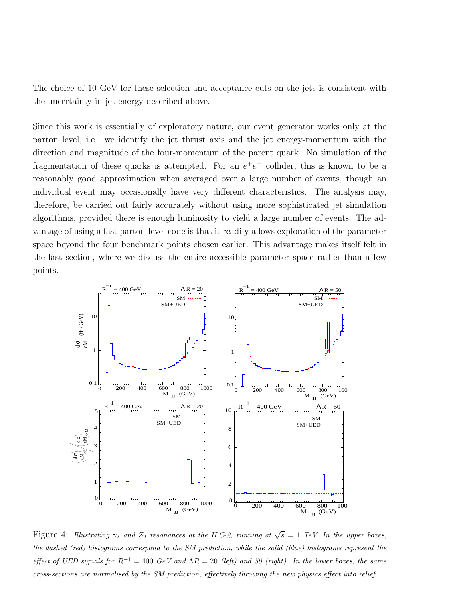The choice of 10 GeV for these selection and acceptance cuts on the jets is consistent with the uncertainty in jet energy described above.

Since this work is essentially of exploratory nature, our event generator works only at the parton level, i.e. we identify the jet thrust axis and the jet energy-momentum with the direction and magnitude of the four-momentum of the parent quark. No simulation of the fragmentation of these quarks is attempted. For an  $e^+e^-$  collider, this is known to be a reasonably good approximation when averaged over a large number of events, though an individual event may occasionally have very different characteristics. The analysis may, therefore, be carried out fairly accurately without using more sophisticated jet simulation algorithms, provided there is enough luminosity to yield a large number of events. The advantage of using a fast parton-level code is that it readily allows exploration of the parameter space beyond the four benchmark points chosen earlier. This advantage makes itself felt in the last section, where we discuss the entire accessible parameter space rather than a few points.



<span id="page-18-0"></span>Figure 4: Illustrating  $\gamma_2$  and  $Z_2$  resonances at the ILC-2, running at  $\sqrt{s} = 1$  TeV. In the upper boxes, the dashed (red) histograms correspond to the SM prediction, while the solid (blue) histograms represent the effect of UED signals for  $R^{-1} = 400 \text{ GeV}$  and  $\Lambda R = 20$  (left) and 50 (right). In the lower boxes, the same cross-sections are normalised by the SM prediction, effectively throwing the new physics effect into relief.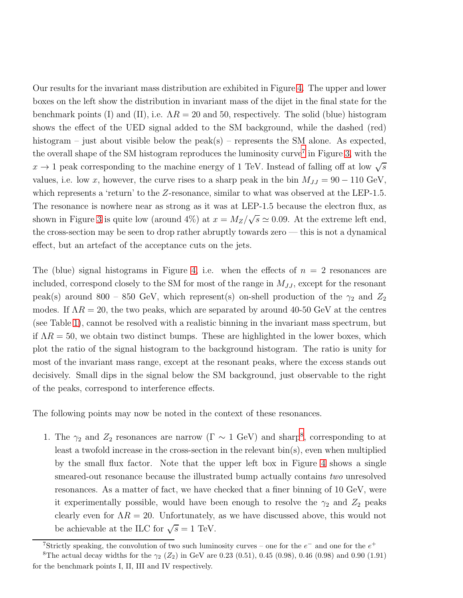Our results for the invariant mass distribution are exhibited in Figure [4.](#page-18-0) The upper and lower boxes on the left show the distribution in invariant mass of the dijet in the final state for the benchmark points (I) and (II), i.e.  $\Lambda R = 20$  and 50, respectively. The solid (blue) histogram shows the effect of the UED signal added to the SM background, while the dashed (red) histogram – just about visible below the peak(s) – represents the SM alone. As expected, the overall shape of the SM histogram reproduces the luminosity curve<sup>[7](#page-19-0)</sup> in Figure [3,](#page-16-0) with the  $x \to 1$  peak corresponding to the machine energy of 1 TeV. Instead of falling off at low  $\sqrt{s}$ values, i.e. low x, however, the curve rises to a sharp peak in the bin  $M_{JJ} = 90 - 110 \text{ GeV}$ , which represents a 'return' to the Z-resonance, similar to what was observed at the LEP-1.5. The resonance is nowhere near as strong as it was at LEP-1.5 because the electron flux, as shown in Figure [3](#page-16-0) is quite low (around 4%) at  $x = M_Z/\sqrt{s} \simeq 0.09$ . At the extreme left end, the cross-section may be seen to drop rather abruptly towards zero — this is not a dynamical effect, but an artefact of the acceptance cuts on the jets.

The (blue) signal histograms in Figure [4,](#page-18-0) i.e. when the effects of  $n = 2$  resonances are included, correspond closely to the SM for most of the range in  $M_{JJ}$ , except for the resonant peak(s) around 800 – 850 GeV, which represent(s) on-shell production of the  $\gamma_2$  and  $Z_2$ modes. If  $\Lambda R = 20$ , the two peaks, which are separated by around 40-50 GeV at the centres (see Table [1\)](#page-10-0), cannot be resolved with a realistic binning in the invariant mass spectrum, but if  $\Lambda R = 50$ , we obtain two distinct bumps. These are highlighted in the lower boxes, which plot the ratio of the signal histogram to the background histogram. The ratio is unity for most of the invariant mass range, except at the resonant peaks, where the excess stands out decisively. Small dips in the signal below the SM background, just observable to the right of the peaks, correspond to interference effects.

The following points may now be noted in the context of these resonances.

1. The  $\gamma_2$  and  $Z_2$  resonances are narrow ( $\Gamma \sim 1 \text{ GeV}$ ) and sharp<sup>[8](#page-19-1)</sup>, corresponding to at least a twofold increase in the cross-section in the relevant bin(s), even when multiplied by the small flux factor. Note that the upper left box in Figure [4](#page-18-0) shows a single smeared-out resonance because the illustrated bump actually contains two unresolved resonances. As a matter of fact, we have checked that a finer binning of 10 GeV, were it experimentally possible, would have been enough to resolve the  $\gamma_2$  and  $Z_2$  peaks clearly even for  $\Lambda R = 20$ . Unfortunately, as we have discussed above, this would not be achievable at the ILC for  $\sqrt{s} = 1$  TeV.

<span id="page-19-0"></span><sup>&</sup>lt;sup>7</sup>Strictly speaking, the convolution of two such luminosity curves – one for the  $e^-$  and one for the  $e^+$ 

<span id="page-19-1"></span><sup>&</sup>lt;sup>8</sup>The actual decay widths for the  $\gamma_2$  (Z<sub>2</sub>) in GeV are 0.23 (0.51), 0.45 (0.98), 0.46 (0.98) and 0.90 (1.91) for the benchmark points I, II, III and IV respectively.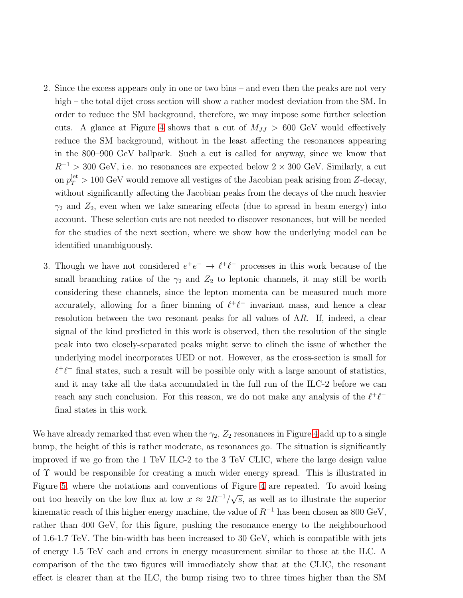- 2. Since the excess appears only in one or two bins and even then the peaks are not very high – the total dijet cross section will show a rather modest deviation from the SM. In order to reduce the SM background, therefore, we may impose some further selection cuts. A glance at Figure [4](#page-18-0) shows that a cut of  $M_{JJ} > 600$  GeV would effectively reduce the SM background, without in the least affecting the resonances appearing in the 800–900 GeV ballpark. Such a cut is called for anyway, since we know that  $R^{-1} > 300$  GeV, i.e. no resonances are expected below  $2 \times 300$  GeV. Similarly, a cut on  $p_T^{\text{jet}} > 100 \text{ GeV}$  would remove all vestiges of the Jacobian peak arising from Z-decay, without significantly affecting the Jacobian peaks from the decays of the much heavier  $\gamma_2$  and  $Z_2$ , even when we take smearing effects (due to spread in beam energy) into account. These selection cuts are not needed to discover resonances, but will be needed for the studies of the next section, where we show how the underlying model can be identified unambiguously.
- 3. Though we have not considered  $e^+e^- \rightarrow \ell^+\ell^-$  processes in this work because of the small branching ratios of the  $\gamma_2$  and  $Z_2$  to leptonic channels, it may still be worth considering these channels, since the lepton momenta can be measured much more accurately, allowing for a finer binning of  $\ell^+\ell^-$  invariant mass, and hence a clear resolution between the two resonant peaks for all values of  $\Lambda R$ . If, indeed, a clear signal of the kind predicted in this work is observed, then the resolution of the single peak into two closely-separated peaks might serve to clinch the issue of whether the underlying model incorporates UED or not. However, as the cross-section is small for  $\ell^+\ell^-$  final states, such a result will be possible only with a large amount of statistics, and it may take all the data accumulated in the full run of the ILC-2 before we can reach any such conclusion. For this reason, we do not make any analysis of the  $\ell^+\ell^$ final states in this work.

We have already remarked that even when the  $\gamma_2$ ,  $Z_2$  resonances in Figure [4](#page-18-0) add up to a single bump, the height of this is rather moderate, as resonances go. The situation is significantly improved if we go from the 1 TeV ILC-2 to the 3 TeV CLIC, where the large design value of Υ would be responsible for creating a much wider energy spread. This is illustrated in Figure [5,](#page-21-0) where the notations and conventions of Figure [4](#page-18-0) are repeated. To avoid losing out too heavily on the low flux at low  $x \approx 2R^{-1}/\sqrt{s}$ , as well as to illustrate the superior kinematic reach of this higher energy machine, the value of  $R^{-1}$  has been chosen as 800 GeV, rather than 400 GeV, for this figure, pushing the resonance energy to the neighbourhood of 1.6-1.7 TeV. The bin-width has been increased to 30 GeV, which is compatible with jets of energy 1.5 TeV each and errors in energy measurement similar to those at the ILC. A comparison of the the two figures will immediately show that at the CLIC, the resonant effect is clearer than at the ILC, the bump rising two to three times higher than the SM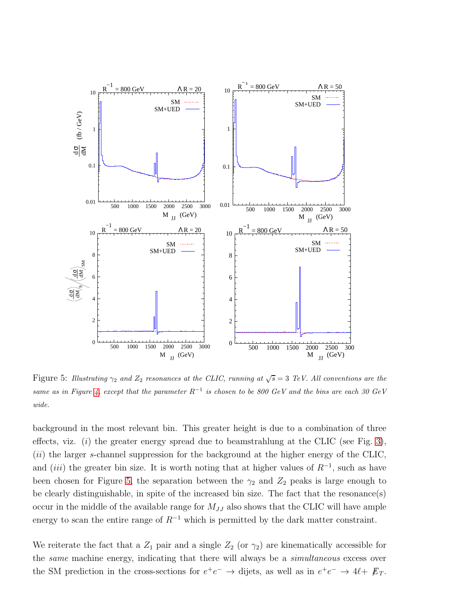

<span id="page-21-0"></span>Figure 5: Illustrating  $\gamma_2$  and  $Z_2$  resonances at the CLIC, running at  $\sqrt{s} = 3$  TeV. All conventions are the same as in Figure [4,](#page-18-0) except that the parameter  $R^{-1}$  is chosen to be 800 GeV and the bins are each 30 GeV wide.

background in the most relevant bin. This greater height is due to a combination of three effects, viz. (*i*) the greater energy spread due to beamstrahlung at the CLIC (see Fig. [3\)](#page-16-0),  $(ii)$  the larger s-channel suppression for the background at the higher energy of the CLIC, and (iii) the greater bin size. It is worth noting that at higher values of  $R^{-1}$ , such as have been chosen for Figure [5,](#page-21-0) the separation between the  $\gamma_2$  and  $Z_2$  peaks is large enough to be clearly distinguishable, in spite of the increased bin size. The fact that the resonance(s) occur in the middle of the available range for  $M_{JJ}$  also shows that the CLIC will have ample energy to scan the entire range of  $R^{-1}$  which is permitted by the dark matter constraint.

We reiterate the fact that a  $Z_1$  pair and a single  $Z_2$  (or  $\gamma_2$ ) are kinematically accessible for the *same* machine energy, indicating that there will always be a *simultaneous* excess over the SM prediction in the cross-sections for  $e^+e^- \to \text{dijets}$ , as well as in  $e^+e^- \to 4\ell + \not{E}_T$ .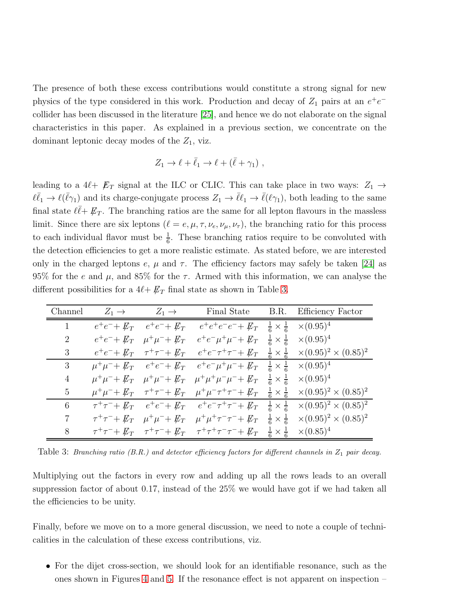The presence of both these excess contributions would constitute a strong signal for new physics of the type considered in this work. Production and decay of  $Z_1$  pairs at an  $e^+e^$ collider has been discussed in the literature [\[25\]](#page-36-7), and hence we do not elaborate on the signal characteristics in this paper. As explained in a previous section, we concentrate on the dominant leptonic decay modes of the  $Z_1$ , viz.

$$
Z_1 \to \ell + \bar{\ell}_1 \to \ell + (\bar{\ell} + \gamma_1) ,
$$

leading to a 4 $\ell + \not\!{E}_T$  signal at the ILC or CLIC. This can take place in two ways:  $Z_1 \rightarrow$  $\ell \bar{\ell}_1 \to \ell(\bar{\ell}\gamma_1)$  and its charge-conjugate process  $Z_1 \to \bar{\ell}\ell_1 \to \bar{\ell}(\ell\gamma_1)$ , both leading to the same final state  $\ell \bar{\ell} + \not{E}_T$ . The branching ratios are the same for all lepton flavours in the massless limit. Since there are six leptons  $(\ell = e, \mu, \tau, \nu_e, \nu_\mu, \nu_\tau)$ , the branching ratio for this process to each individual flavor must be  $\frac{1}{6}$ . These branching ratios require to be convoluted with the detection efficiencies to get a more realistic estimate. As stated before, we are interested only in the charged leptons e,  $\mu$  and  $\tau$ . The efficiency factors may safely be taken [\[24\]](#page-36-6) as 95% for the e and  $\mu$ , and 85% for the  $\tau$ . Armed with this information, we can analyse the different possibilities for a  $4\ell + \not\!\!E_T$  final state as shown in Table [3.](#page-22-0)

| Channel        | $Z_1 \rightarrow$  | $Z_1 \rightarrow$                                 | Final State                                                                                                                     |                                  | B.R. Efficiency Factor                                                                                                               |
|----------------|--------------------|---------------------------------------------------|---------------------------------------------------------------------------------------------------------------------------------|----------------------------------|--------------------------------------------------------------------------------------------------------------------------------------|
| 1              | $e^+e^- + E_T$     | $e^+e^- + E_T$                                    | $e^+e^+e^-e^- + \not\!\!{E_T}$                                                                                                  | $\frac{1}{6} \times \frac{1}{6}$ | $\times (0.95)^4$                                                                                                                    |
| $\overline{2}$ |                    | $e^+e^- + \not{E_T}$ $\mu^+\mu^- + \not{E_T}$     | $e^+e^-\mu^+\mu^- + \not\!\!E_T \quad \frac{1}{6} \times \frac{1}{6}$                                                           |                                  | $\times (0.95)^4$                                                                                                                    |
| 3              | $e^+e^- + E_T$     | $\tau^+\tau^-+E_T$                                |                                                                                                                                 |                                  | $e^+e^-\tau^+\tau^- + \not{E_T}$ $\frac{1}{6} \times \frac{1}{6}$ $\times (0.95)^2 \times (0.85)^2$                                  |
| 3              |                    | $\mu^+\mu^- + \not\!\!E_T$ $e^+e^- + \not\!\!E_T$ | $e^+e^-\mu^+\mu^- + \not\!\!{E_T}$                                                                                              | $\frac{1}{6} \times \frac{1}{6}$ | $\times (0.95)^4$                                                                                                                    |
| 4              |                    |                                                   | $\mu^+\mu^- + \not\!\!E_T$ $\mu^+\mu^- + \not\!\!E_T$ $\mu^+\mu^+\mu^-\mu^- + \not\!\!E_T$ $\frac{1}{6} \times \frac{1}{6}$     |                                  | $\times (0.95)^4$                                                                                                                    |
| 5              |                    |                                                   | $\mu^+\mu^- + \not\!\!E_T$ $\tau^+\tau^- + \not\!\!E_T$ $\mu^+\mu^-\tau^+\tau^- + \not\!\!E_T$ $\frac{1}{6} \times \frac{1}{6}$ |                                  | $\times (0.95)^2 \times (0.85)^2$                                                                                                    |
| 6              |                    |                                                   | $\tau^+ \tau^- + \not\!\!E_T$ $e^+ e^- + \not\!\!E_T$ $e^+ e^- \tau^+ \tau^- + \not\!\!E_T$ $\frac{1}{6} \times \frac{1}{6}$    |                                  | $\times (0.95)^2 \times (0.85)^2$                                                                                                    |
| 7              | $\tau^+\tau^-+E_T$ |                                                   |                                                                                                                                 |                                  | $\mu^+\mu^- + \not\!\!E_T$ $\mu^+\mu^+\tau^-\tau^- + \not\!\!E_T$ $\frac{1}{6} \times \frac{1}{6}$ $\times (0.95)^2 \times (0.85)^2$ |
| 8              |                    |                                                   | $\tau^+ \tau^- + \not\!\!E_T$ $\tau^+ \tau^- + \not\!\!E_T$ $\tau^+ \tau^+ \tau^- \tau^- + \not\!\!E_T$                         | $\frac{1}{6} \times \frac{1}{6}$ | $\times (0.85)^4$                                                                                                                    |

<span id="page-22-0"></span>Table 3: Branching ratio (B.R.) and detector efficiency factors for different channels in  $Z_1$  pair decay.

Multiplying out the factors in every row and adding up all the rows leads to an overall suppression factor of about 0.17, instead of the 25% we would have got if we had taken all the efficiencies to be unity.

Finally, before we move on to a more general discussion, we need to note a couple of technicalities in the calculation of these excess contributions, viz.

• For the dijet cross-section, we should look for an identifiable resonance, such as the ones shown in Figures [4](#page-18-0) and [5.](#page-21-0) If the resonance effect is not apparent on inspection –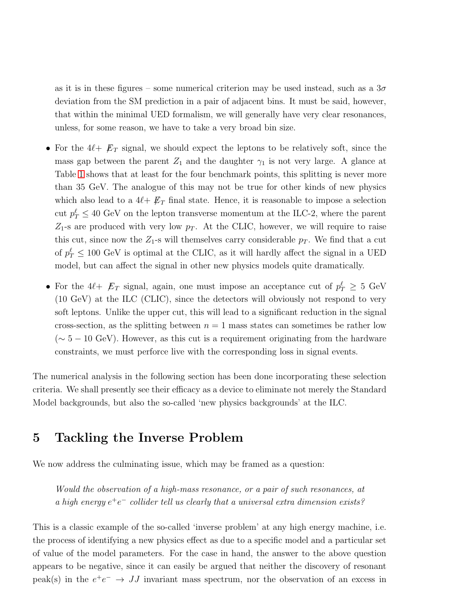as it is in these figures – some numerical criterion may be used instead, such as a  $3\sigma$ deviation from the SM prediction in a pair of adjacent bins. It must be said, however, that within the minimal UED formalism, we will generally have very clear resonances, unless, for some reason, we have to take a very broad bin size.

- For the  $4\ell + \not\!{E}_T$  signal, we should expect the leptons to be relatively soft, since the mass gap between the parent  $Z_1$  and the daughter  $\gamma_1$  is not very large. A glance at Table [1](#page-10-0) shows that at least for the four benchmark points, this splitting is never more than 35 GeV. The analogue of this may not be true for other kinds of new physics which also lead to a  $4\ell + \not{E}_T$  final state. Hence, it is reasonable to impose a selection cut  $p_T^{\ell} \leq 40$  GeV on the lepton transverse momentum at the ILC-2, where the parent  $Z_1$ -s are produced with very low  $p_T$ . At the CLIC, however, we will require to raise this cut, since now the  $Z_1$ -s will themselves carry considerable  $p_T$ . We find that a cut of  $p_T^{\ell} \leq 100 \text{ GeV}$  is optimal at the CLIC, as it will hardly affect the signal in a UED model, but can affect the signal in other new physics models quite dramatically.
- For the  $4\ell + \not{E}_T$  signal, again, one must impose an acceptance cut of  $p_T^{\ell} \geq 5$  GeV (10 GeV) at the ILC (CLIC), since the detectors will obviously not respond to very soft leptons. Unlike the upper cut, this will lead to a significant reduction in the signal cross-section, as the splitting between  $n = 1$  mass states can sometimes be rather low  $({\sim 5-10 \text{ GeV}})$ . However, as this cut is a requirement originating from the hardware constraints, we must perforce live with the corresponding loss in signal events.

The numerical analysis in the following section has been done incorporating these selection criteria. We shall presently see their efficacy as a device to eliminate not merely the Standard Model backgrounds, but also the so-called 'new physics backgrounds' at the ILC.

### 5 Tackling the Inverse Problem

We now address the culminating issue, which may be framed as a question:

Would the observation of a high-mass resonance, or a pair of such resonances, at a high energy  $e^+e^-$  collider tell us clearly that a universal extra dimension exists?

This is a classic example of the so-called 'inverse problem' at any high energy machine, i.e. the process of identifying a new physics effect as due to a specific model and a particular set of value of the model parameters. For the case in hand, the answer to the above question appears to be negative, since it can easily be argued that neither the discovery of resonant peak(s) in the  $e^+e^- \rightarrow JJ$  invariant mass spectrum, nor the observation of an excess in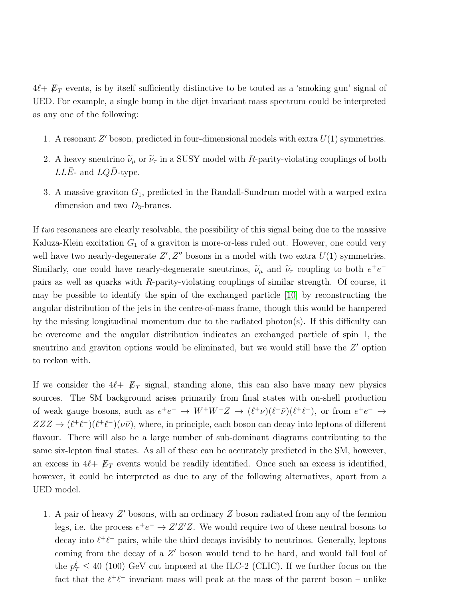$4\ell + \not\!{E}_T$  events, is by itself sufficiently distinctive to be touted as a 'smoking gun' signal of UED. For example, a single bump in the dijet invariant mass spectrum could be interpreted as any one of the following:

- 1. A resonant  $Z'$  boson, predicted in four-dimensional models with extra  $U(1)$  symmetries.
- 2. A heavy sneutrino  $\tilde{\nu}_{\mu}$  or  $\tilde{\nu}_{\tau}$  in a SUSY model with R-parity-violating couplings of both  $LL\bar{E}$ - and  $LQ\bar{D}$ -type.
- 3. A massive graviton  $G_1$ , predicted in the Randall-Sundrum model with a warped extra dimension and two  $D_3$ -branes.

If two resonances are clearly resolvable, the possibility of this signal being due to the massive Kaluza-Klein excitation  $G_1$  of a graviton is more-or-less ruled out. However, one could very well have two nearly-degenerate  $Z', Z''$  bosons in a model with two extra  $U(1)$  symmetries. Similarly, one could have nearly-degenerate sneutrinos,  $\tilde{\nu}_{\mu}$  and  $\tilde{\nu}_{\tau}$  coupling to both  $e^+e^$ pairs as well as quarks with R-parity-violating couplings of similar strength. Of course, it may be possible to identify the spin of the exchanged particle [\[10\]](#page-35-7) by reconstructing the angular distribution of the jets in the centre-of-mass frame, though this would be hampered by the missing longitudinal momentum due to the radiated photon(s). If this difficulty can be overcome and the angular distribution indicates an exchanged particle of spin 1, the sneutrino and graviton options would be eliminated, but we would still have the  $Z'$  option to reckon with.

If we consider the  $4\ell + \not{E}_T$  signal, standing alone, this can also have many new physics sources. The SM background arises primarily from final states with on-shell production of weak gauge bosons, such as  $e^+e^- \to W^+W^-Z \to (\ell^+\nu)(\ell^-\bar{\nu})(\ell^+\ell^-)$ , or from  $e^+e^- \to$  $ZZZ \to (\ell^+\ell^-)(\ell^+\ell^-) (\nu\bar{\nu})$ , where, in principle, each boson can decay into leptons of different flavour. There will also be a large number of sub-dominant diagrams contributing to the same six-lepton final states. As all of these can be accurately predicted in the SM, however, an excess in  $4\ell + \not{E}_T$  events would be readily identified. Once such an excess is identified, however, it could be interpreted as due to any of the following alternatives, apart from a UED model.

1. A pair of heavy  $Z'$  bosons, with an ordinary  $Z$  boson radiated from any of the fermion legs, i.e. the process  $e^+e^- \to Z'Z'Z$ . We would require two of these neutral bosons to decay into  $\ell^+\ell^-$  pairs, while the third decays invisibly to neutrinos. Generally, leptons coming from the decay of a Z' boson would tend to be hard, and would fall foul of the  $p_T^{\ell} \leq 40$  (100) GeV cut imposed at the ILC-2 (CLIC). If we further focus on the fact that the  $\ell^+\ell^-$  invariant mass will peak at the mass of the parent boson – unlike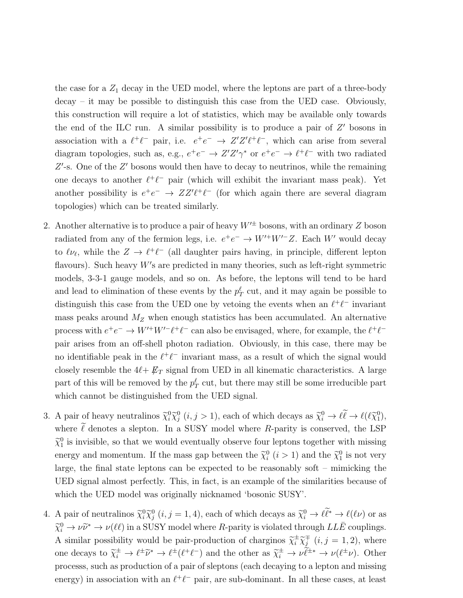the case for a  $Z_1$  decay in the UED model, where the leptons are part of a three-body decay – it may be possible to distinguish this case from the UED case. Obviously, this construction will require a lot of statistics, which may be available only towards the end of the ILC run. A similar possibility is to produce a pair of  $Z'$  bosons in association with a  $\ell^+\ell^-$  pair, i.e.  $e^+e^- \to Z'Z'\ell^+\ell^-$ , which can arise from several diagram topologies, such as, e.g.,  $e^+e^- \to Z'Z'\gamma^*$  or  $e^+e^- \to \ell^+\ell^-$  with two radiated  $Z'$ -s. One of the  $Z'$  bosons would then have to decay to neutrinos, while the remaining one decays to another  $\ell^+\ell^-$  pair (which will exhibit the invariant mass peak). Yet another possibility is  $e^+e^- \rightarrow ZZ' \ell^+ \ell^-$  (for which again there are several diagram topologies) which can be treated similarly.

- 2. Another alternative is to produce a pair of heavy  $W'^{\pm}$  bosons, with an ordinary Z boson radiated from any of the fermion legs, i.e.  $e^+e^- \to W'^+W'^-Z$ . Each W' would decay to  $\ell \nu_{\ell}$ , while the  $Z \to \ell^+ \ell^-$  (all daughter pairs having, in principle, different lepton flavours). Such heavy  $W'$ s are predicted in many theories, such as left-right symmetric models, 3-3-1 gauge models, and so on. As before, the leptons will tend to be hard and lead to elimination of these events by the  $p_T^{\ell}$  cut, and it may again be possible to distinguish this case from the UED one by vetoing the events when an  $\ell^+\ell^-$  invariant mass peaks around  $M_Z$  when enough statistics has been accumulated. An alternative process with  $e^+e^- \to W'^+W'^-\ell^+\ell^-$  can also be envisaged, where, for example, the  $\ell^+\ell^$ pair arises from an off-shell photon radiation. Obviously, in this case, there may be no identifiable peak in the  $\ell^+\ell^-$  invariant mass, as a result of which the signal would closely resemble the  $4\ell + \not{E}_T$  signal from UED in all kinematic characteristics. A large part of this will be removed by the  $p_T^{\ell}$  cut, but there may still be some irreducible part which cannot be distinguished from the UED signal.
- 3. A pair of heavy neutralinos  $\tilde{\chi}_i^0 \tilde{\chi}_j^0$   $(i, j > 1)$ , each of which decays as  $\tilde{\chi}_i^0 \to \ell \ell \to \ell(\ell \tilde{\chi}_1^0)$ , where  $\ell$  denotes a slepton. In a SUSY model where R-parity is conserved, the LSP  $\tilde{\chi}_1^0$  is invisible, so that we would eventually observe four leptons together with missing energy and momentum. If the mass gap between the  $\tilde{\chi}_i^0$   $(i > 1)$  and the  $\tilde{\chi}_1^0$  is not very large, the final state leptons can be expected to be reasonably soft – mimicking the UED signal almost perfectly. This, in fact, is an example of the similarities because of which the UED model was originally nicknamed 'bosonic SUSY'.
- 4. A pair of neutralinos  $\tilde{\chi}_i^0 \tilde{\chi}_j^0$   $(i, j = 1, 4)$ , each of which decays as  $\tilde{\chi}_i^0 \to \ell \ell^* \to \ell(\ell \nu)$  or as  $\tilde{\chi}^0_i \to \nu \tilde{\nu}^* \to \nu(\ell \ell)$  in a SUSY model where R-parity is violated through  $LL\bar{E}$  couplings. A similar possibility would be pair-production of charginos  $\widetilde{\chi}_i^{\pm} \widetilde{\chi}_j^{\mp}$  $j^{\mp}$   $(i, j = 1, 2)$ , where one decays to  $\tilde{\chi}^{\pm}_{i} \to \ell^{\pm} \tilde{\nu}^{*} \to \ell^{\pm} (\ell^{+} \ell^{-})$  and the other as  $\tilde{\chi}^{\pm}_{i} \to \nu \tilde{\ell}^{\pm *} \to \nu (\ell^{\pm} \nu)$ . Other processs, such as production of a pair of sleptons (each decaying to a lepton and missing energy) in association with an  $\ell^+\ell^-$  pair, are sub-dominant. In all these cases, at least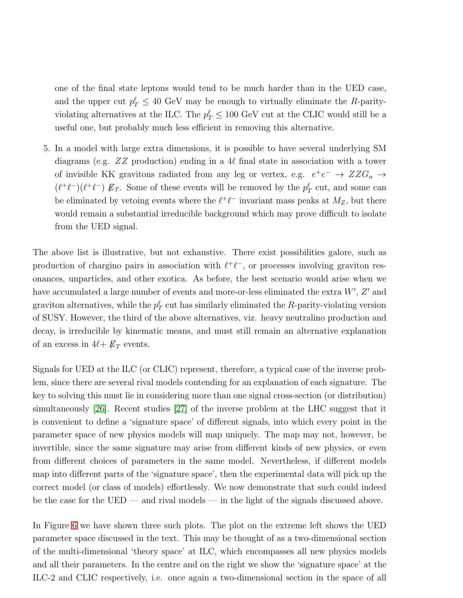one of the final state leptons would tend to be much harder than in the UED case, and the upper cut  $p_T^{\ell} \leq 40$  GeV may be enough to virtually eliminate the R-parityviolating alternatives at the ILC. The  $p_T^{\ell} \leq 100 \text{ GeV}$  cut at the CLIC would still be a useful one, but probably much less efficient in removing this alternative.

5. In a model with large extra dimensions, it is possible to have several underlying SM diagrams (e.g.  $ZZ$  production) ending in a 4 $\ell$  final state in association with a tower of invisible KK gravitons radiated from any leg or vertex, e.g.  $e^+e^- \rightarrow ZZG_n \rightarrow$  $(\ell^+\ell^-)(\ell^+\ell^-) \not\!\! E_T$ . Some of these events will be removed by the  $p_T^{\ell}$  cut, and some can be eliminated by vetoing events where the  $\ell^+\ell^-$  invariant mass peaks at  $M_Z$ , but there would remain a substantial irreducible background which may prove difficult to isolate from the UED signal.

The above list is illustrative, but not exhaustive. There exist possibilities galore, such as production of chargino pairs in association with  $\ell^+\ell^-$ , or processes involving graviton resonances, unparticles, and other exotica. As before, the best scenario would arise when we have accumulated a large number of events and more-or-less eliminated the extra  $W'$ ,  $Z'$  and graviton alternatives, while the  $p_T^{\ell}$  cut has similarly eliminated the R-parity-violating version of SUSY. However, the third of the above alternatives, viz. heavy neutralino production and decay, is irreducible by kinematic means, and must still remain an alternative explanation of an excess in  $4\ell + \not{E}_T$  events.

Signals for UED at the ILC (or CLIC) represent, therefore, a typical case of the inverse problem, since there are several rival models contending for an explanation of each signature. The key to solving this must lie in considering more than one signal cross-section (or distribution) simultaneously [\[26\]](#page-36-8). Recent studies [\[27\]](#page-36-9) of the inverse problem at the LHC suggest that it is convenient to define a 'signature space' of different signals, into which every point in the parameter space of new physics models will map uniquely. The map may not, however, be invertible, since the same signature may arise from different kinds of new physics, or even from different choices of parameters in the same model. Nevertheless, if different models map into different parts of the 'signature space', then the experimental data will pick up the correct model (or class of models) effortlessly. We now demonstrate that such could indeed be the case for the UED — and rival models — in the light of the signals discussed above.

In Figure [6](#page-28-0) we have shown three such plots. The plot on the extreme left shows the UED parameter space discussed in the text. This may be thought of as a two-dimensional section of the multi-dimensional 'theory space' at ILC, which encompasses all new physics models and all their parameters. In the centre and on the right we show the 'signature space' at the ILC-2 and CLIC respectively, i.e. once again a two-dimensional section in the space of all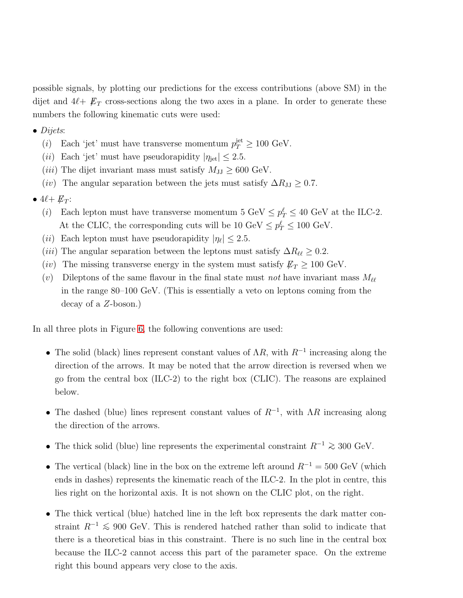possible signals, by plotting our predictions for the excess contributions (above SM) in the dijet and  $4\ell + \not{E}_T$  cross-sections along the two axes in a plane. In order to generate these numbers the following kinematic cuts were used:

- $\bullet$  Dijets:
	- (*i*) Each 'jet' must have transverse momentum  $p_T^{\text{jet}} \geq 100 \text{ GeV}$ .
	- (ii) Each 'jet' must have pseudorapidity  $|\eta_{jet}| \leq 2.5$ .
	- (*iii*) The dijet invariant mass must satisfy  $M_{JJ} \geq 600$  GeV.
	- (iv) The angular separation between the jets must satisfy  $\Delta R_{JJ} \geq 0.7$ .
- $4\ell + E_T$ :
	- (*i*) Each lepton must have transverse momentum 5 GeV  $\leq p_T^{\ell} \leq 40$  GeV at the ILC-2. At the CLIC, the corresponding cuts will be  $10 \text{ GeV} \le p_T^{\ell} \le 100 \text{ GeV}$ .
	- (*ii*) Each lepton must have pseudorapidity  $|\eta_{\ell}| \leq 2.5$ .
	- (*iii*) The angular separation between the leptons must satisfy  $\Delta R_{\ell\ell} \geq 0.2$ .
	- (iv) The missing transverse energy in the system must satisfy  $\not\!\! E_T \geq 100 \text{ GeV}$ .
	- (v) Dileptons of the same flavour in the final state must not have invariant mass  $M_{\ell\ell}$ in the range 80–100 GeV. (This is essentially a veto on leptons coming from the decay of a Z-boson.)

In all three plots in Figure [6,](#page-28-0) the following conventions are used:

- The solid (black) lines represent constant values of  $\Lambda R$ , with  $R^{-1}$  increasing along the direction of the arrows. It may be noted that the arrow direction is reversed when we go from the central box (ILC-2) to the right box (CLIC). The reasons are explained below.
- The dashed (blue) lines represent constant values of  $R^{-1}$ , with  $\Lambda R$  increasing along the direction of the arrows.
- The thick solid (blue) line represents the experimental constraint  $R^{-1} \geq 300 \text{ GeV}$ .
- The vertical (black) line in the box on the extreme left around  $R^{-1} = 500 \text{ GeV}$  (which ends in dashes) represents the kinematic reach of the ILC-2. In the plot in centre, this lies right on the horizontal axis. It is not shown on the CLIC plot, on the right.
- The thick vertical (blue) hatched line in the left box represents the dark matter constraint  $R^{-1} \leq 900$  GeV. This is rendered hatched rather than solid to indicate that there is a theoretical bias in this constraint. There is no such line in the central box because the ILC-2 cannot access this part of the parameter space. On the extreme right this bound appears very close to the axis.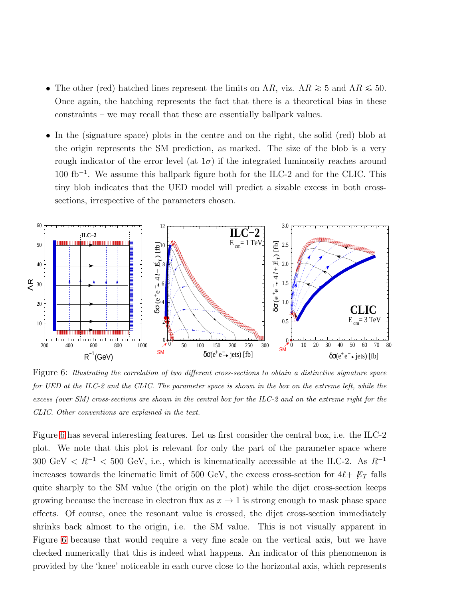- The other (red) hatched lines represent the limits on  $\Lambda R$ , viz.  $\Lambda R \gtrsim 5$  and  $\Lambda R \lesssim 50$ . Once again, the hatching represents the fact that there is a theoretical bias in these constraints – we may recall that these are essentially ballpark values.
- In the (signature space) plots in the centre and on the right, the solid (red) blob at the origin represents the SM prediction, as marked. The size of the blob is a very rough indicator of the error level (at  $1\sigma$ ) if the integrated luminosity reaches around 100 fb<sup>−</sup><sup>1</sup> . We assume this ballpark figure both for the ILC-2 and for the CLIC. This tiny blob indicates that the UED model will predict a sizable excess in both crosssections, irrespective of the parameters chosen.



<span id="page-28-0"></span>Figure 6: Illustrating the correlation of two different cross-sections to obtain a distinctive signature space for UED at the ILC-2 and the CLIC. The parameter space is shown in the box on the extreme left, while the excess (over SM) cross-sections are shown in the central box for the ILC-2 and on the extreme right for the CLIC. Other conventions are explained in the text.

Figure [6](#page-28-0) has several interesting features. Let us first consider the central box, i.e. the ILC-2 plot. We note that this plot is relevant for only the part of the parameter space where 300 GeV  $\langle R^{-1} \rangle$  = 500 GeV, i.e., which is kinematically accessible at the ILC-2. As  $R^{-1}$ increases towards the kinematic limit of 500 GeV, the excess cross-section for  $4\ell + E_T$  falls quite sharply to the SM value (the origin on the plot) while the dijet cross-section keeps growing because the increase in electron flux as  $x \to 1$  is strong enough to mask phase space effects. Of course, once the resonant value is crossed, the dijet cross-section immediately shrinks back almost to the origin, i.e. the SM value. This is not visually apparent in Figure [6](#page-28-0) because that would require a very fine scale on the vertical axis, but we have checked numerically that this is indeed what happens. An indicator of this phenomenon is provided by the 'knee' noticeable in each curve close to the horizontal axis, which represents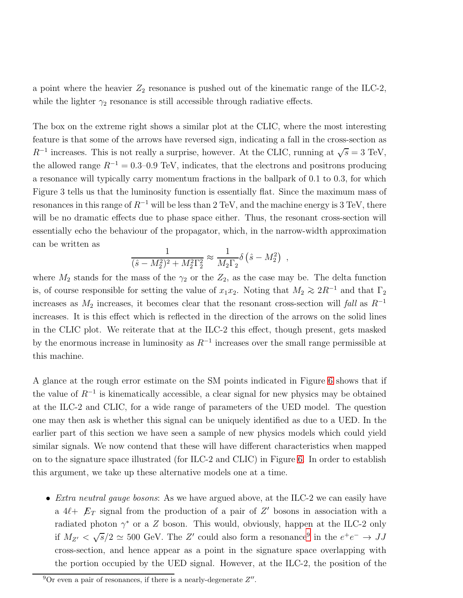a point where the heavier  $Z_2$  resonance is pushed out of the kinematic range of the ILC-2, while the lighter  $\gamma_2$  resonance is still accessible through radiative effects.

The box on the extreme right shows a similar plot at the CLIC, where the most interesting feature is that some of the arrows have reversed sign, indicating a fall in the cross-section as  $R^{-1}$  increases. This is not really a surprise, however. At the CLIC, running at  $\sqrt{s} = 3 \text{ TeV}$ , the allowed range  $R^{-1} = 0.3{\text -}0.9$  TeV, indicates, that the electrons and positrons producing a resonance will typically carry momentum fractions in the ballpark of 0.1 to 0.3, for which Figure 3 tells us that the luminosity function is essentially flat. Since the maximum mass of resonances in this range of  $R^{-1}$  will be less than 2 TeV, and the machine energy is 3 TeV, there will be no dramatic effects due to phase space either. Thus, the resonant cross-section will essentially echo the behaviour of the propagator, which, in the narrow-width approximation can be written as

$$
\frac{1}{(\hat{s} - M_2^2)^2 + M_2^2 \Gamma_2^2} \approx \frac{1}{M_2 \Gamma_2} \delta (\hat{s} - M_2^2) ,
$$

where  $M_2$  stands for the mass of the  $\gamma_2$  or the  $Z_2$ , as the case may be. The delta function is, of course responsible for setting the value of  $x_1x_2$ . Noting that  $M_2 \geq 2R^{-1}$  and that  $\Gamma_2$ increases as  $M_2$  increases, it becomes clear that the resonant cross-section will fall as  $R^{-1}$ increases. It is this effect which is reflected in the direction of the arrows on the solid lines in the CLIC plot. We reiterate that at the ILC-2 this effect, though present, gets masked by the enormous increase in luminosity as  $R^{-1}$  increases over the small range permissible at this machine.

A glance at the rough error estimate on the SM points indicated in Figure [6](#page-28-0) shows that if the value of  $R^{-1}$  is kinematically accessible, a clear signal for new physics may be obtained at the ILC-2 and CLIC, for a wide range of parameters of the UED model. The question one may then ask is whether this signal can be uniquely identified as due to a UED. In the earlier part of this section we have seen a sample of new physics models which could yield similar signals. We now contend that these will have different characteristics when mapped on to the signature space illustrated (for ILC-2 and CLIC) in Figure [6.](#page-28-0) In order to establish this argument, we take up these alternative models one at a time.

• *Extra neutral gauge bosons*: As we have argued above, at the ILC-2 we can easily have a  $4\ell + \mathcal{L}_T$  signal from the production of a pair of Z' bosons in association with a radiated photon  $\gamma^*$  or a Z boson. This would, obviously, happen at the ILC-2 only if  $M_{Z'} < \sqrt{s}/2 \simeq 500$  GeV. The Z' could also form a resonance<sup>[9](#page-29-0)</sup> in the  $e^+e^- \rightarrow JJ$ cross-section, and hence appear as a point in the signature space overlapping with the portion occupied by the UED signal. However, at the ILC-2, the position of the

<span id="page-29-0"></span><sup>&</sup>lt;sup>9</sup>Or even a pair of resonances, if there is a nearly-degenerate  $Z''$ .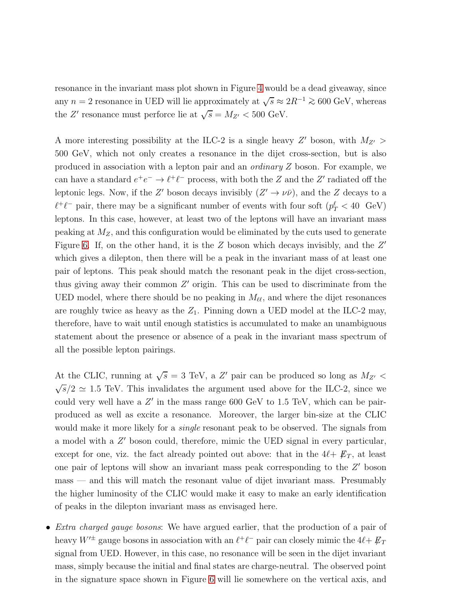resonance in the invariant mass plot shown in Figure [4](#page-18-0) would be a dead giveaway, since any  $n = 2$  resonance in UED will lie approximately at  $\sqrt{s} \approx 2R^{-1} \gtrsim 600 \text{ GeV}$ , whereas the Z' resonance must perforce lie at  $\sqrt{s} = M_{Z'} < 500$  GeV.

A more interesting possibility at the ILC-2 is a single heavy  $Z'$  boson, with  $M_{Z'}$ 500 GeV, which not only creates a resonance in the dijet cross-section, but is also produced in association with a lepton pair and an ordinary Z boson. For example, we can have a standard  $e^+e^- \to \ell^+\ell^-$  process, with both the Z and the Z' radiated off the leptonic legs. Now, if the Z' boson decays invisibly  $(Z' \to \nu\bar{\nu})$ , and the Z decays to a  $\ell^+\ell^-$  pair, there may be a significant number of events with four soft  $(p_T^{\ell} < 40$  GeV) leptons. In this case, however, at least two of the leptons will have an invariant mass peaking at  $M_Z$ , and this configuration would be eliminated by the cuts used to generate Figure [6.](#page-28-0) If, on the other hand, it is the  $Z$  boson which decays invisibly, and the  $Z'$ which gives a dilepton, then there will be a peak in the invariant mass of at least one pair of leptons. This peak should match the resonant peak in the dijet cross-section, thus giving away their common  $Z'$  origin. This can be used to discriminate from the UED model, where there should be no peaking in  $M_{\ell\ell}$ , and where the dijet resonances are roughly twice as heavy as the  $Z_1$ . Pinning down a UED model at the ILC-2 may, therefore, have to wait until enough statistics is accumulated to make an unambiguous statement about the presence or absence of a peak in the invariant mass spectrum of all the possible lepton pairings.

At the CLIC, running at  $\sqrt{s} = 3$  TeV, a Z' pair can be produced so long as  $M_{Z'}$  <  $\sqrt{s}/2 \simeq 1.5$  TeV. This invalidates the argument used above for the ILC-2, since we could very well have a  $Z'$  in the mass range 600 GeV to 1.5 TeV, which can be pairproduced as well as excite a resonance. Moreover, the larger bin-size at the CLIC would make it more likely for a *single* resonant peak to be observed. The signals from a model with a Z' boson could, therefore, mimic the UED signal in every particular, except for one, viz. the fact already pointed out above: that in the  $4\ell + \not{E}_T$ , at least one pair of leptons will show an invariant mass peak corresponding to the Z' boson mass — and this will match the resonant value of dijet invariant mass. Presumably the higher luminosity of the CLIC would make it easy to make an early identification of peaks in the dilepton invariant mass as envisaged here.

• *Extra charged gauge bosons*: We have argued earlier, that the production of a pair of heavy  $W'^{\pm}$  gauge bosons in association with an  $\ell^+\ell^-$  pair can closely mimic the  $4\ell+\not\!\!{E}_T$ signal from UED. However, in this case, no resonance will be seen in the dijet invariant mass, simply because the initial and final states are charge-neutral. The observed point in the signature space shown in Figure [6](#page-28-0) will lie somewhere on the vertical axis, and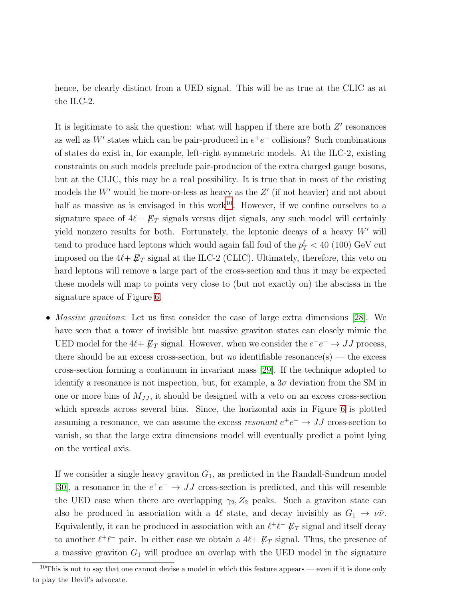hence, be clearly distinct from a UED signal. This will be as true at the CLIC as at the ILC-2.

It is legitimate to ask the question: what will happen if there are both  $Z'$  resonances as well as W' states which can be pair-produced in  $e^+e^-$  collisions? Such combinations of states do exist in, for example, left-right symmetric models. At the ILC-2, existing constraints on such models preclude pair-producion of the extra charged gauge bosons, but at the CLIC, this may be a real possibility. It is true that in most of the existing models the  $W'$  would be more-or-less as heavy as the  $Z'$  (if not heavier) and not about half as massive as is envisaged in this work<sup>[10](#page-31-0)</sup>. However, if we confine ourselves to a signature space of  $4\ell + \not{E}_T$  signals versus dijet signals, any such model will certainly yield nonzero results for both. Fortunately, the leptonic decays of a heavy  $W'$  will tend to produce hard leptons which would again fall foul of the  $p_T^{\ell} < 40$  (100) GeV cut imposed on the  $4\ell + \not{E}_T$  signal at the ILC-2 (CLIC). Ultimately, therefore, this veto on hard leptons will remove a large part of the cross-section and thus it may be expected these models will map to points very close to (but not exactly on) the abscissa in the signature space of Figure [6.](#page-28-0)

• *Massive gravitons*: Let us first consider the case of large extra dimensions [\[28\]](#page-36-10). We have seen that a tower of invisible but massive graviton states can closely mimic the UED model for the  $4\ell + \not\!\!E_T$  signal. However, when we consider the  $e^+e^- \rightarrow JJ$  process, there should be an excess cross-section, but no identifiable resonance(s) — the excess cross-section forming a continuum in invariant mass [\[29\]](#page-37-0). If the technique adopted to identify a resonance is not inspection, but, for example, a  $3\sigma$  deviation from the SM in one or more bins of  $M_{JJ}$ , it should be designed with a veto on an excess cross-section which spreads across several bins. Since, the horizontal axis in Figure [6](#page-28-0) is plotted assuming a resonance, we can assume the excess *resonant*  $e^+e^- \rightarrow JJ$  cross-section to vanish, so that the large extra dimensions model will eventually predict a point lying on the vertical axis.

If we consider a single heavy graviton  $G_1$ , as predicted in the Randall-Sundrum model [\[30\]](#page-37-1), a resonance in the  $e^+e^- \rightarrow JJ$  cross-section is predicted, and this will resemble the UED case when there are overlapping  $\gamma_2$ ,  $Z_2$  peaks. Such a graviton state can also be produced in association with a 4 $\ell$  state, and decay invisibly as  $G_1 \rightarrow \nu \bar{\nu}$ . Equivalently, it can be produced in association with an  $\ell^+\ell^ \not\!\!E_T$  signal and itself decay to another  $\ell^+\ell^-$  pair. In either case we obtain a  $4\ell+\not{E}_T$  signal. Thus, the presence of a massive graviton  $G_1$  will produce an overlap with the UED model in the signature

<span id="page-31-0"></span><sup>&</sup>lt;sup>10</sup>This is not to say that one cannot devise a model in which this feature appears — even if it is done only to play the Devil's advocate.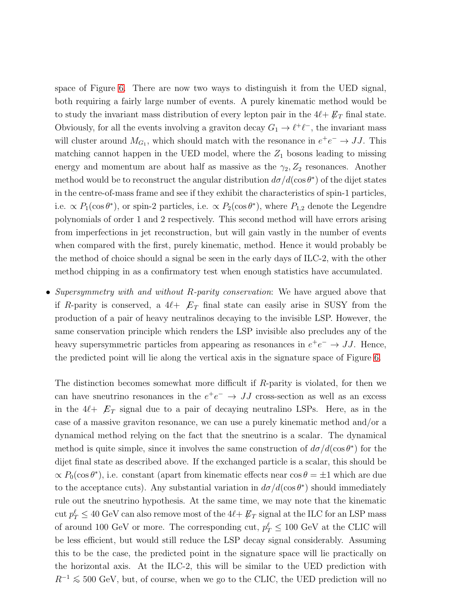space of Figure [6.](#page-28-0) There are now two ways to distinguish it from the UED signal, both requiring a fairly large number of events. A purely kinematic method would be to study the invariant mass distribution of every lepton pair in the  $4\ell + \not{E}_T$  final state. Obviously, for all the events involving a graviton decay  $G_1 \to \ell^+ \ell^-$ , the invariant mass will cluster around  $M_{G_1}$ , which should match with the resonance in  $e^+e^- \to JJ$ . This matching cannot happen in the UED model, where the  $Z_1$  bosons leading to missing energy and momentum are about half as massive as the  $\gamma_2$ ,  $Z_2$  resonances. Another method would be to reconstruct the angular distribution  $d\sigma/d(\cos\theta^*)$  of the dijet states in the centre-of-mass frame and see if they exhibit the characteristics of spin-1 particles, i.e.  $\propto P_1(\cos \theta^*)$ , or spin-2 particles, i.e.  $\propto P_2(\cos \theta^*)$ , where  $P_{1,2}$  denote the Legendre polynomials of order 1 and 2 respectively. This second method will have errors arising from imperfections in jet reconstruction, but will gain vastly in the number of events when compared with the first, purely kinematic, method. Hence it would probably be the method of choice should a signal be seen in the early days of ILC-2, with the other method chipping in as a confirmatory test when enough statistics have accumulated.

• Supersymmetry with and without R-parity conservation: We have argued above that if R-parity is conserved, a  $4\ell + \mathcal{L}_T$  final state can easily arise in SUSY from the production of a pair of heavy neutralinos decaying to the invisible LSP. However, the same conservation principle which renders the LSP invisible also precludes any of the heavy supersymmetric particles from appearing as resonances in  $e^+e^- \to JJ$ . Hence, the predicted point will lie along the vertical axis in the signature space of Figure [6.](#page-28-0)

The distinction becomes somewhat more difficult if R-parity is violated, for then we can have sneutrino resonances in the  $e^+e^- \rightarrow JJ$  cross-section as well as an excess in the  $4\ell + \not{E}_T$  signal due to a pair of decaying neutralino LSPs. Here, as in the case of a massive graviton resonance, we can use a purely kinematic method and/or a dynamical method relying on the fact that the sneutrino is a scalar. The dynamical method is quite simple, since it involves the same construction of  $d\sigma/d(\cos\theta^*)$  for the dijet final state as described above. If the exchanged particle is a scalar, this should be  $\propto P_0(\cos \theta^*)$ , i.e. constant (apart from kinematic effects near  $\cos \theta = \pm 1$  which are due to the acceptance cuts). Any substantial variation in  $d\sigma/d(\cos\theta^*)$  should immediately rule out the sneutrino hypothesis. At the same time, we may note that the kinematic cut  $p_T^{\ell} \leq 40 \text{ GeV}$  can also remove most of the  $4\ell + \not\!\!E_T$  signal at the ILC for an LSP mass of around 100 GeV or more. The corresponding cut,  $p_T^{\ell} \leq 100$  GeV at the CLIC will be less efficient, but would still reduce the LSP decay signal considerably. Assuming this to be the case, the predicted point in the signature space will lie practically on the horizontal axis. At the ILC-2, this will be similar to the UED prediction with  $R^{-1} \leq 500$  GeV, but, of course, when we go to the CLIC, the UED prediction will no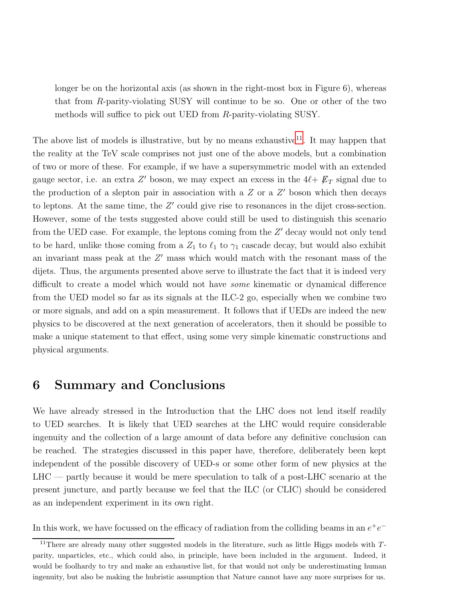longer be on the horizontal axis (as shown in the right-most box in Figure 6), whereas that from R-parity-violating SUSY will continue to be so. One or other of the two methods will suffice to pick out UED from R-parity-violating SUSY.

The above list of models is illustrative, but by no means exhaustive<sup>[11](#page-33-0)</sup>. It may happen that the reality at the TeV scale comprises not just one of the above models, but a combination of two or more of these. For example, if we have a supersymmetric model with an extended gauge sector, i.e. an extra Z' boson, we may expect an excess in the  $4\ell + \not{E}_T$  signal due to the production of a slepton pair in association with a  $Z$  or a  $Z'$  boson which then decays to leptons. At the same time, the  $Z'$  could give rise to resonances in the dijet cross-section. However, some of the tests suggested above could still be used to distinguish this scenario from the UED case. For example, the leptons coming from the Z' decay would not only tend to be hard, unlike those coming from a  $Z_1$  to  $\ell_1$  to  $\gamma_1$  cascade decay, but would also exhibit an invariant mass peak at the  $Z'$  mass which would match with the resonant mass of the dijets. Thus, the arguments presented above serve to illustrate the fact that it is indeed very difficult to create a model which would not have some kinematic or dynamical difference from the UED model so far as its signals at the ILC-2 go, especially when we combine two or more signals, and add on a spin measurement. It follows that if UEDs are indeed the new physics to be discovered at the next generation of accelerators, then it should be possible to make a unique statement to that effect, using some very simple kinematic constructions and physical arguments.

### 6 Summary and Conclusions

We have already stressed in the Introduction that the LHC does not lend itself readily to UED searches. It is likely that UED searches at the LHC would require considerable ingenuity and the collection of a large amount of data before any definitive conclusion can be reached. The strategies discussed in this paper have, therefore, deliberately been kept independent of the possible discovery of UED-s or some other form of new physics at the LHC — partly because it would be mere speculation to talk of a post-LHC scenario at the present juncture, and partly because we feel that the ILC (or CLIC) should be considered as an independent experiment in its own right.

In this work, we have focussed on the efficacy of radiation from the colliding beams in an  $e^+e^-$ 

<span id="page-33-0"></span><sup>&</sup>lt;sup>11</sup>There are already many other suggested models in the literature, such as little Higgs models with  $T$ parity, unparticles, etc., which could also, in principle, have been included in the argument. Indeed, it would be foolhardy to try and make an exhaustive list, for that would not only be underestimating human ingenuity, but also be making the hubristic assumption that Nature cannot have any more surprises for us.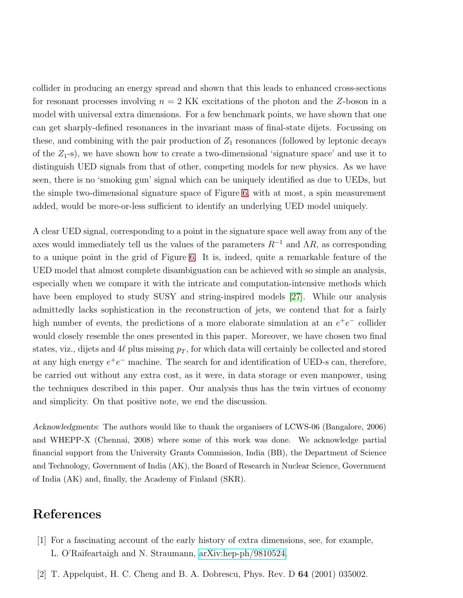collider in producing an energy spread and shown that this leads to enhanced cross-sections for resonant processes involving  $n = 2$  KK excitations of the photon and the Z-boson in a model with universal extra dimensions. For a few benchmark points, we have shown that one can get sharply-defined resonances in the invariant mass of final-state dijets. Focussing on these, and combining with the pair production of  $Z_1$  resonances (followed by leptonic decays of the  $Z_1$ -s), we have shown how to create a two-dimensional 'signature space' and use it to distinguish UED signals from that of other, competing models for new physics. As we have seen, there is no 'smoking gun' signal which can be uniquely identified as due to UEDs, but the simple two-dimensional signature space of Figure [6,](#page-28-0) with at most, a spin measurement added, would be more-or-less sufficient to identify an underlying UED model uniquely.

A clear UED signal, corresponding to a point in the signature space well away from any of the axes would immediately tell us the values of the parameters  $R^{-1}$  and  $\Lambda R$ , as corresponding to a unique point in the grid of Figure [6.](#page-28-0) It is, indeed, quite a remarkable feature of the UED model that almost complete disambiguation can be achieved with so simple an analysis, especially when we compare it with the intricate and computation-intensive methods which have been employed to study SUSY and string-inspired models [\[27\]](#page-36-9). While our analysis admittedly lacks sophistication in the reconstruction of jets, we contend that for a fairly high number of events, the predictions of a more elaborate simulation at an  $e^+e^-$  collider would closely resemble the ones presented in this paper. Moreover, we have chosen two final states, viz., dijets and 4 $\ell$  plus missing  $p_T$ , for which data will certainly be collected and stored at any high energy  $e^+e^-$  machine. The search for and identification of UED-s can, therefore, be carried out without any extra cost, as it were, in data storage or even manpower, using the techniques described in this paper. Our analysis thus has the twin virtues of economy and simplicity. On that positive note, we end the discussion.

Acknowledgments: The authors would like to thank the organisers of LCWS-06 (Bangalore, 2006) and WHEPP-X (Chennai, 2008) where some of this work was done. We acknowledge partial financial support from the University Grants Commission, India (BB), the Department of Science and Technology, Government of India (AK), the Board of Research in Nuclear Science, Government of India (AK) and, finally, the Academy of Finland (SKR).

## <span id="page-34-0"></span>References

- <span id="page-34-1"></span>[1] For a fascinating account of the early history of extra dimensions, see, for example, L. O'Raifeartaigh and N. Straumann, [arXiv:hep-ph/9810524.](http://arxiv.org/abs/hep-ph/9810524)
- [2] T. Appelquist, H. C. Cheng and B. A. Dobrescu, Phys. Rev. D 64 (2001) 035002.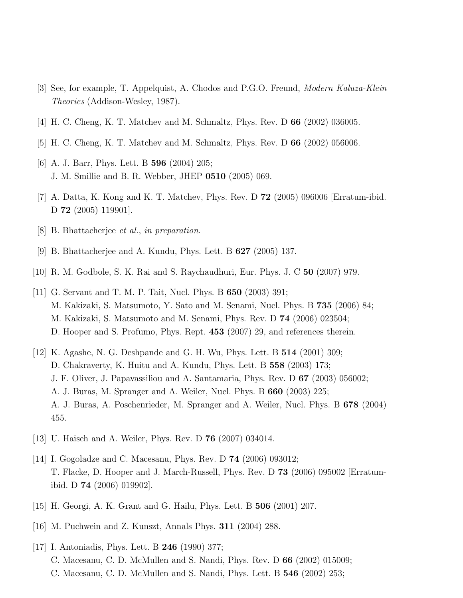- <span id="page-35-1"></span><span id="page-35-0"></span>[3] See, for example, T. Appelquist, A. Chodos and P.G.O. Freund, Modern Kaluza-Klein Theories (Addison-Wesley, 1987).
- <span id="page-35-2"></span>[4] H. C. Cheng, K. T. Matchev and M. Schmaltz, Phys. Rev. D 66 (2002) 036005.
- <span id="page-35-3"></span>[5] H. C. Cheng, K. T. Matchev and M. Schmaltz, Phys. Rev. D 66 (2002) 056006.
- <span id="page-35-4"></span>[6] A. J. Barr, Phys. Lett. B **596** (2004) 205; J. M. Smillie and B. R. Webber, JHEP 0510 (2005) 069.
- <span id="page-35-5"></span>[7] A. Datta, K. Kong and K. T. Matchev, Phys. Rev. D 72 (2005) 096006 [Erratum-ibid. D 72 (2005) 119901].
- <span id="page-35-6"></span>[8] B. Bhattacherjee et al., in preparation.
- <span id="page-35-7"></span>[9] B. Bhattacherjee and A. Kundu, Phys. Lett. B 627 (2005) 137.
- <span id="page-35-8"></span>[10] R. M. Godbole, S. K. Rai and S. Raychaudhuri, Eur. Phys. J. C 50 (2007) 979.
- [11] G. Servant and T. M. P. Tait, Nucl. Phys. B 650 (2003) 391; M. Kakizaki, S. Matsumoto, Y. Sato and M. Senami, Nucl. Phys. B 735 (2006) 84; M. Kakizaki, S. Matsumoto and M. Senami, Phys. Rev. D 74 (2006) 023504; D. Hooper and S. Profumo, Phys. Rept. 453 (2007) 29, and references therein.
- <span id="page-35-9"></span>[12] K. Agashe, N. G. Deshpande and G. H. Wu, Phys. Lett. B 514 (2001) 309; D. Chakraverty, K. Huitu and A. Kundu, Phys. Lett. B 558 (2003) 173; J. F. Oliver, J. Papavassiliou and A. Santamaria, Phys. Rev. D 67 (2003) 056002; A. J. Buras, M. Spranger and A. Weiler, Nucl. Phys. B 660 (2003) 225; A. J. Buras, A. Poschenrieder, M. Spranger and A. Weiler, Nucl. Phys. B 678 (2004) 455.
- <span id="page-35-11"></span><span id="page-35-10"></span>[13] U. Haisch and A. Weiler, Phys. Rev. D 76 (2007) 034014.
- [14] I. Gogoladze and C. Macesanu, Phys. Rev. D 74 (2006) 093012; T. Flacke, D. Hooper and J. March-Russell, Phys. Rev. D 73 (2006) 095002 [Erratumibid. D 74 (2006) 019902].
- <span id="page-35-13"></span><span id="page-35-12"></span>[15] H. Georgi, A. K. Grant and G. Hailu, Phys. Lett. B 506 (2001) 207.
- <span id="page-35-14"></span>[16] M. Puchwein and Z. Kunszt, Annals Phys. 311 (2004) 288.
- [17] I. Antoniadis, Phys. Lett. B 246 (1990) 377; C. Macesanu, C. D. McMullen and S. Nandi, Phys. Rev. D 66 (2002) 015009; C. Macesanu, C. D. McMullen and S. Nandi, Phys. Lett. B 546 (2002) 253;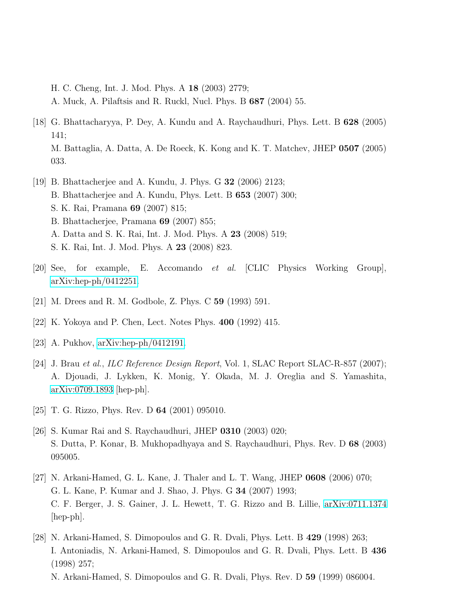H. C. Cheng, Int. J. Mod. Phys. A 18 (2003) 2779; A. Muck, A. Pilaftsis and R. Ruckl, Nucl. Phys. B 687 (2004) 55.

- <span id="page-36-0"></span>[18] G. Bhattacharyya, P. Dey, A. Kundu and A. Raychaudhuri, Phys. Lett. B 628 (2005) 141; M. Battaglia, A. Datta, A. De Roeck, K. Kong and K. T. Matchev, JHEP 0507 (2005) 033.
- <span id="page-36-1"></span>[19] B. Bhattacherjee and A. Kundu, J. Phys. G 32 (2006) 2123; B. Bhattacherjee and A. Kundu, Phys. Lett. B 653 (2007) 300; S. K. Rai, Pramana 69 (2007) 815; B. Bhattacherjee, Pramana 69 (2007) 855; A. Datta and S. K. Rai, Int. J. Mod. Phys. A 23 (2008) 519; S. K. Rai, Int. J. Mod. Phys. A 23 (2008) 823.
- <span id="page-36-3"></span><span id="page-36-2"></span>[20] See, for example, E. Accomando et al. [CLIC Physics Working Group], [arXiv:hep-ph/0412251.](http://arxiv.org/abs/hep-ph/0412251)
- <span id="page-36-4"></span>[21] M. Drees and R. M. Godbole, Z. Phys. C 59 (1993) 591.
- <span id="page-36-5"></span>[22] K. Yokoya and P. Chen, Lect. Notes Phys. 400 (1992) 415.
- <span id="page-36-6"></span>[23] A. Pukhov, [arXiv:hep-ph/0412191.](http://arxiv.org/abs/hep-ph/0412191)
- [24] J. Brau et al., ILC Reference Design Report, Vol. 1, SLAC Report SLAC-R-857 (2007); A. Djouadi, J. Lykken, K. Monig, Y. Okada, M. J. Oreglia and S. Yamashita, [arXiv:0709.1893](http://arxiv.org/abs/0709.1893) [hep-ph].
- <span id="page-36-8"></span><span id="page-36-7"></span>[25] T. G. Rizzo, Phys. Rev. D 64 (2001) 095010.
- [26] S. Kumar Rai and S. Raychaudhuri, JHEP 0310 (2003) 020; S. Dutta, P. Konar, B. Mukhopadhyaya and S. Raychaudhuri, Phys. Rev. D 68 (2003) 095005.
- <span id="page-36-9"></span>[27] N. Arkani-Hamed, G. L. Kane, J. Thaler and L. T. Wang, JHEP 0608 (2006) 070; G. L. Kane, P. Kumar and J. Shao, J. Phys. G 34 (2007) 1993; C. F. Berger, J. S. Gainer, J. L. Hewett, T. G. Rizzo and B. Lillie, [arXiv:0711.1374](http://arxiv.org/abs/0711.1374) [hep-ph].
- <span id="page-36-10"></span>[28] N. Arkani-Hamed, S. Dimopoulos and G. R. Dvali, Phys. Lett. B 429 (1998) 263; I. Antoniadis, N. Arkani-Hamed, S. Dimopoulos and G. R. Dvali, Phys. Lett. B 436 (1998) 257; N. Arkani-Hamed, S. Dimopoulos and G. R. Dvali, Phys. Rev. D 59 (1999) 086004.